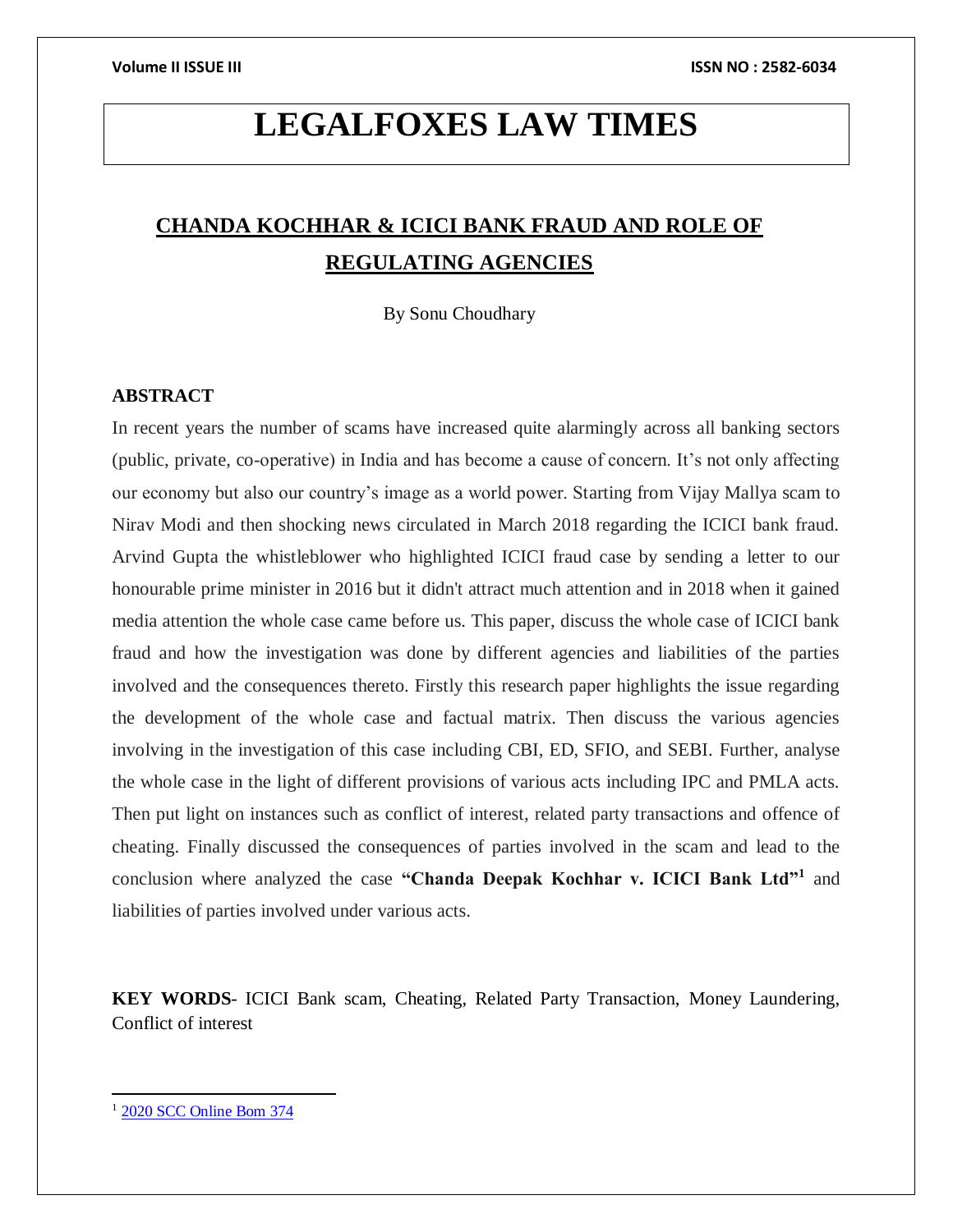# **LEGALFOXES LAW TIMES**

# **CHANDA KOCHHAR & ICICI BANK FRAUD AND ROLE OF REGULATING AGENCIES**

By Sonu Choudhary

# **ABSTRACT**

In recent years the number of scams have increased quite alarmingly across all banking sectors (public, private, co-operative) in India and has become a cause of concern. It's not only affecting our economy but also our country's image as a world power. Starting from Vijay Mallya scam to Nirav Modi and then shocking news circulated in March 2018 regarding the ICICI bank fraud. Arvind Gupta the whistleblower who highlighted ICICI fraud case by sending a letter to our honourable prime minister in 2016 but it didn't attract much attention and in 2018 when it gained media attention the whole case came before us. This paper, discuss the whole case of ICICI bank fraud and how the investigation was done by different agencies and liabilities of the parties involved and the consequences thereto. Firstly this research paper highlights the issue regarding the development of the whole case and factual matrix. Then discuss the various agencies involving in the investigation of this case including CBI, ED, SFIO, and SEBI. Further, analyse the whole case in the light of different provisions of various acts including IPC and PMLA acts. Then put light on instances such as conflict of interest, related party transactions and offence of cheating. Finally discussed the consequences of parties involved in the scam and lead to the conclusion where analyzed the case **"Chanda Deepak Kochhar v. ICICI Bank Ltd"<sup>1</sup>** and liabilities of parties involved under various acts.

**KEY WORDS**- ICICI Bank scam, Cheating, Related Party Transaction, Money Laundering, Conflict of interest

<sup>1</sup> 2020 SCC [Online](http://www.scconline.com/DocumentLink/55i12hj2) Bom 374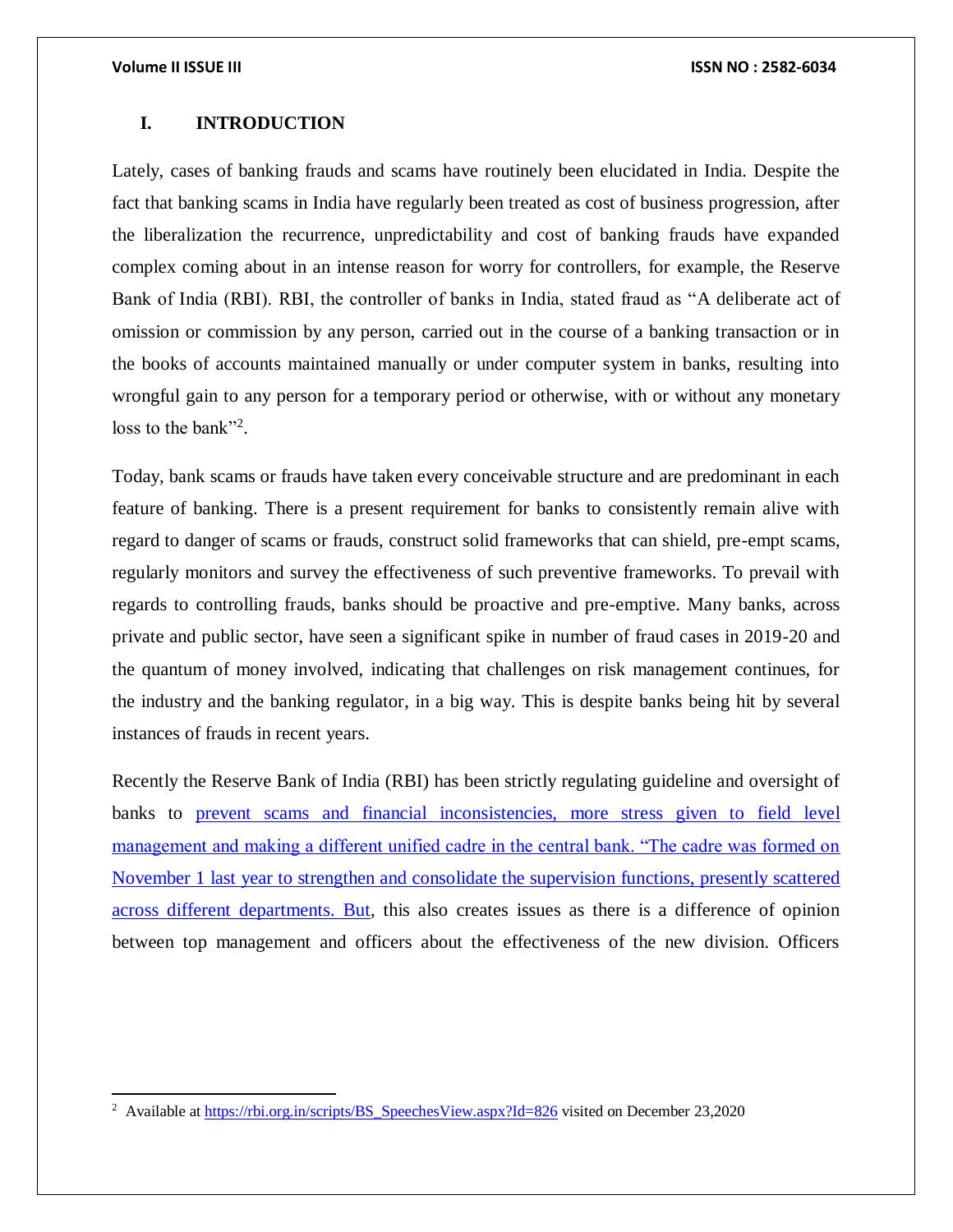$\overline{a}$ 

### **I. INTRODUCTION**

Lately, cases of banking frauds and scams have routinely been elucidated in India. Despite the fact that banking scams in India have regularly been treated as cost of business progression, after the liberalization the recurrence, unpredictability and cost of banking frauds have expanded complex coming about in an intense reason for worry for controllers, for example, the Reserve Bank of India (RBI). RBI, the controller of banks in India, stated fraud as "A deliberate act of omission or commission by any person, carried out in the course of a banking transaction or in the books of accounts maintained manually or under computer system in banks, resulting into wrongful gain to any person for a temporary period or otherwise, with or without any monetary loss to the bank"<sup>2</sup>.

Today, bank scams or frauds have taken every conceivable structure and are predominant in each feature of banking. There is a present requirement for banks to consistently remain alive with regard to danger of scams or frauds, construct solid frameworks that can shield, pre-empt scams, regularly monitors and survey the effectiveness of such preventive frameworks. To prevail with regards to controlling frauds, banks should be proactive and pre-emptive. Many banks, across private and public sector, have seen a significant spike in number of fraud cases in 2019-20 and the quantum of money involved, indicating that challenges on risk management continues, for the industry and the banking regulator, in a big way. This is despite banks being hit by several instances of frauds in recent years.

Recently the Reserve Bank of India (RBI) has been strictly regulating guideline and oversight of banks to prevent scams and financial inconsistencies, more stress given to field level management and making a different unified cadre in the central bank. "The cadre was formed on November 1 last year to strengthen and consolidate the supervision functions, presently scattered across different departments. But, this also creates issues as there is a difference of opinion between top management and officers about the effectiveness of the new division. Officers

<sup>&</sup>lt;sup>2</sup> Available a[t https://rbi.org.in/scripts/BS\\_SpeechesView.aspx?Id=826](https://rbi.org.in/scripts/BS_SpeechesView.aspx?Id=826) visited on December 23,2020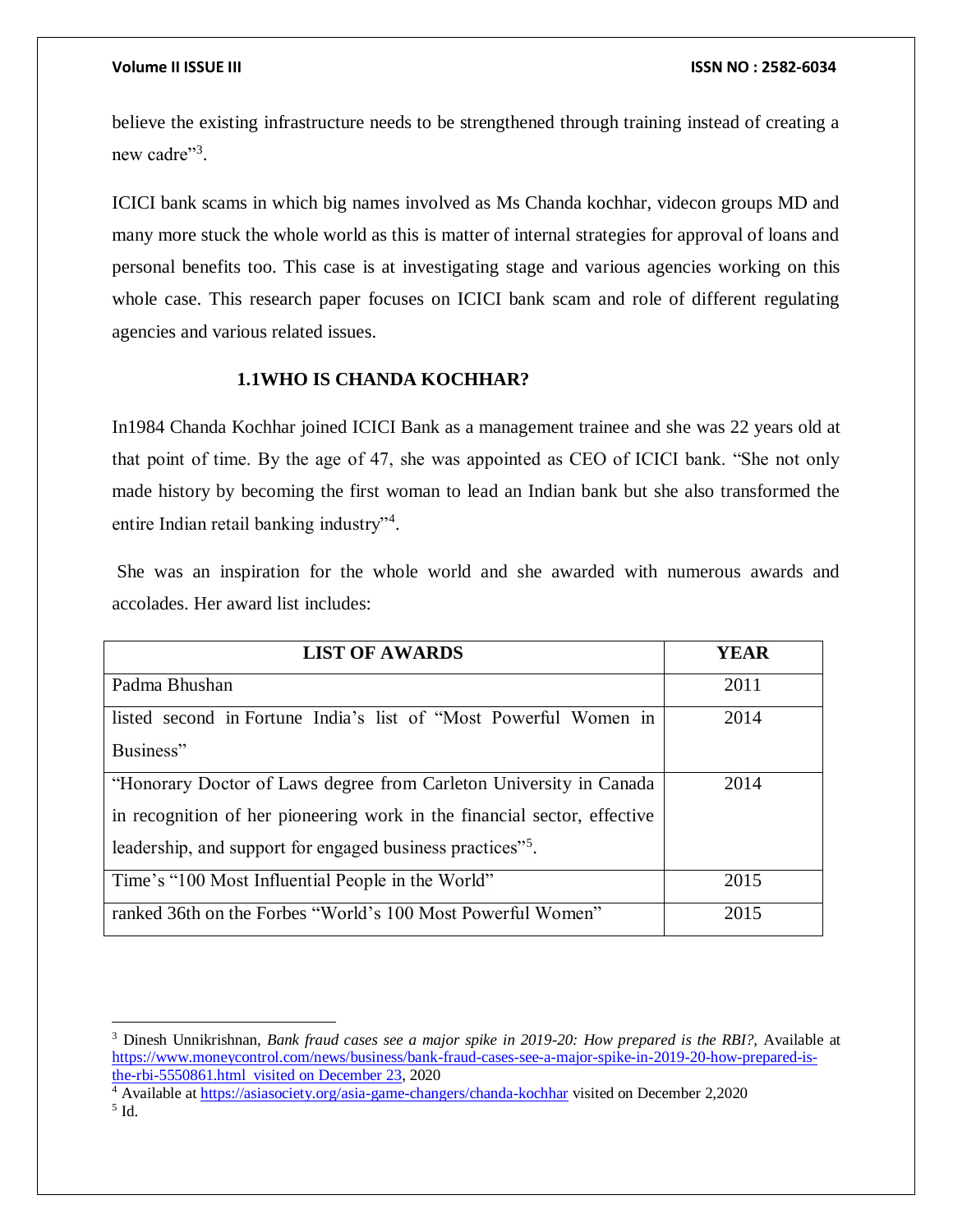$\overline{\phantom{a}}$ 

believe the existing infrastructure needs to be strengthened through training instead of creating a new cadre"<sup>3</sup>.

ICICI bank scams in which big names involved as Ms Chanda kochhar, videcon groups MD and many more stuck the whole world as this is matter of internal strategies for approval of loans and personal benefits too. This case is at investigating stage and various agencies working on this whole case. This research paper focuses on ICICI bank scam and role of different regulating agencies and various related issues.

# **1.1WHO IS CHANDA KOCHHAR?**

In1984 Chanda Kochhar joined ICICI Bank as a management trainee and she was 22 years old at that point of time. By the age of 47, she was appointed as CEO of ICICI bank. "She not only made history by becoming the first woman to lead an Indian bank but she also transformed the entire Indian retail banking industry"<sup>4</sup>.

She was an inspiration for the whole world and she awarded with numerous awards and accolades. Her award list includes:

| <b>LIST OF AWARDS</b>                                                                                                                                                                                                    | <b>YEAR</b> |
|--------------------------------------------------------------------------------------------------------------------------------------------------------------------------------------------------------------------------|-------------|
| Padma Bhushan                                                                                                                                                                                                            | 2011        |
| listed second in Fortune India's list of "Most Powerful Women in<br>Business"                                                                                                                                            | 2014        |
| "Honorary Doctor of Laws degree from Carleton University in Canada<br>in recognition of her pioneering work in the financial sector, effective<br>leadership, and support for engaged business practices" <sup>5</sup> . | 2014        |
| Time's "100 Most Influential People in the World"                                                                                                                                                                        | 2015        |
| ranked 36th on the Forbes "World's 100 Most Powerful Women"                                                                                                                                                              | 2015        |

<sup>4</sup> Available at<https://asiasociety.org/asia-game-changers/chanda-kochhar> visited on December 2,2020 5 Id.

<sup>3</sup> Dinesh Unnikrishnan, *Bank fraud cases see a major spike in 2019-20: How prepared is the RBI?,* Available at [https://www.moneycontrol.com/news/business/bank-fraud-cases-see-a-major-spike-in-2019-20-how-prepared-is](https://www.moneycontrol.com/news/business/bank-fraud-cases-see-a-major-spike-in-2019-20-how-prepared-is-the-rbi-5550861.html%20%20visited%20on%20December%2023)[the-rbi-5550861.html visited on December 23,](https://www.moneycontrol.com/news/business/bank-fraud-cases-see-a-major-spike-in-2019-20-how-prepared-is-the-rbi-5550861.html%20%20visited%20on%20December%2023) 2020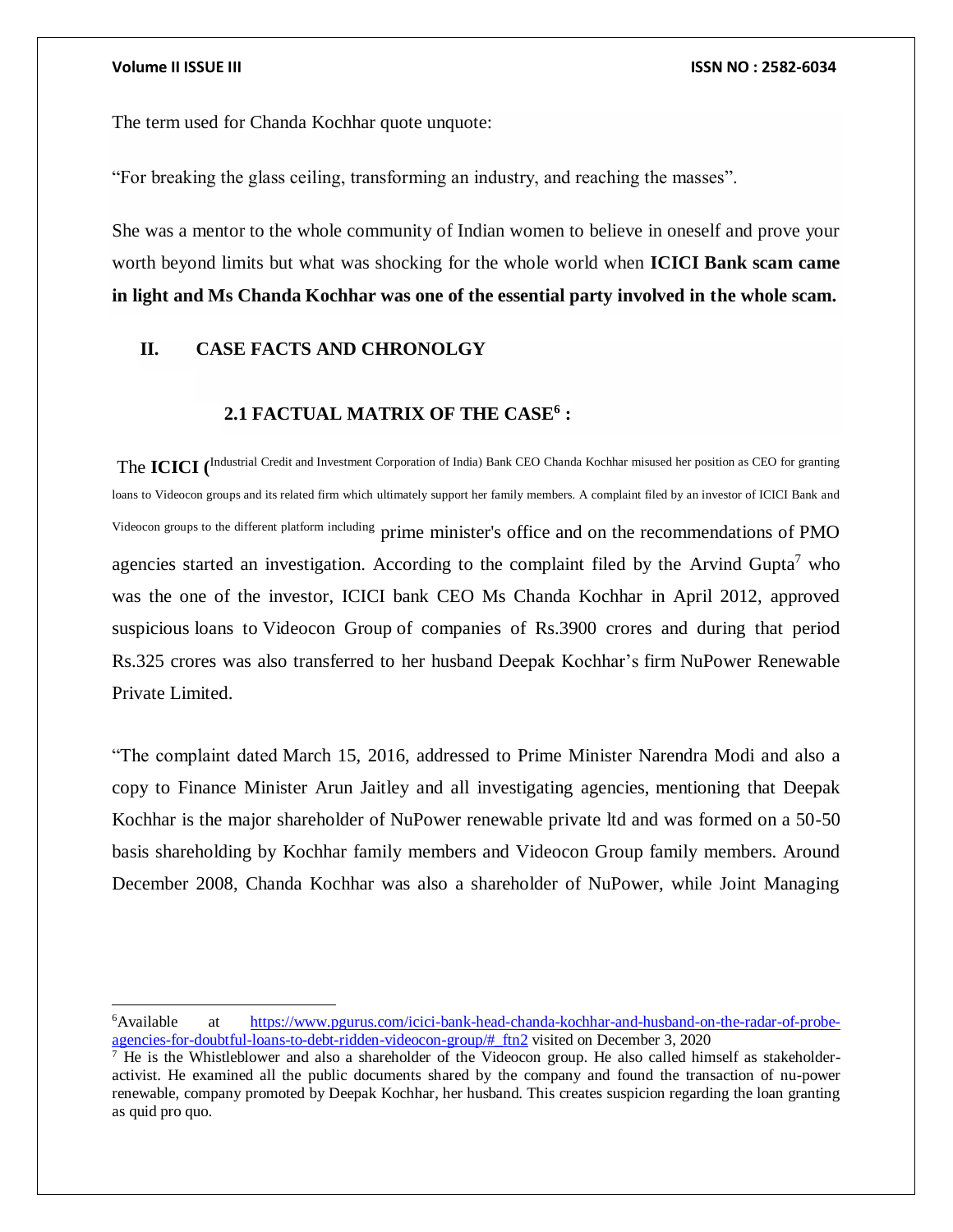$\overline{a}$ 

The term used for Chanda Kochhar quote unquote:

"For breaking the glass ceiling, transforming an industry, and reaching the masses".

She was a mentor to the whole community of Indian women to believe in oneself and prove your worth beyond limits but what was shocking for the whole world when **ICICI Bank scam came in light and Ms Chanda Kochhar was one of the essential party involved in the whole scam.** 

## **II. CASE FACTS AND CHRONOLGY**

# **2.1 FACTUAL MATRIX OF THE CASE<sup>6</sup> :**

The **ICICI (** Industrial Credit and Investment Corporation of India) Bank CEO Chanda Kochhar misused her position as CEO for granting loans to Videocon groups and its related firm which ultimately support her family members. A complaint filed by an investor of ICICI Bank and Videocon groups to the different platform including prime minister's office and on the recommendations of PMO agencies started an investigation. According to the complaint filed by the Arvind Gupta<sup>7</sup> who was the one of the investor, ICICI bank CEO Ms Chanda Kochhar in April 2012, approved suspicious loans to Videocon Group of companies of Rs.3900 crores and during that period Rs.325 crores was also transferred to her husband Deepak Kochhar's firm NuPower Renewable Private Limited.

"The complaint dated March 15, 2016, addressed to Prime Minister Narendra Modi and also a copy to Finance Minister Arun Jaitley and all investigating agencies, mentioning that Deepak Kochhar is the major shareholder of NuPower renewable private ltd and was formed on a 50-50 basis shareholding by Kochhar family members and Videocon Group family members. Around December 2008, Chanda Kochhar was also a shareholder of NuPower, while Joint Managing

<sup>6</sup>Available at [https://www.pgurus.com/icici-bank-head-chanda-kochhar-and-husband-on-the-radar-of-probe](https://www.pgurus.com/icici-bank-head-chanda-kochhar-and-husband-on-the-radar-of-probe-agencies-for-doubtful-loans-to-debt-ridden-videocon-group/#_ftn2)[agencies-for-doubtful-loans-to-debt-ridden-videocon-group/#\\_ftn2](https://www.pgurus.com/icici-bank-head-chanda-kochhar-and-husband-on-the-radar-of-probe-agencies-for-doubtful-loans-to-debt-ridden-videocon-group/#_ftn2) visited on December 3, 2020

<sup>&</sup>lt;sup>7</sup> He is the Whistleblower and also a shareholder of the Videocon group. He also called himself as stakeholderactivist. He examined all the public documents shared by the company and found the transaction of nu-power renewable, company promoted by Deepak Kochhar, her husband. This creates suspicion regarding the loan granting as quid pro quo.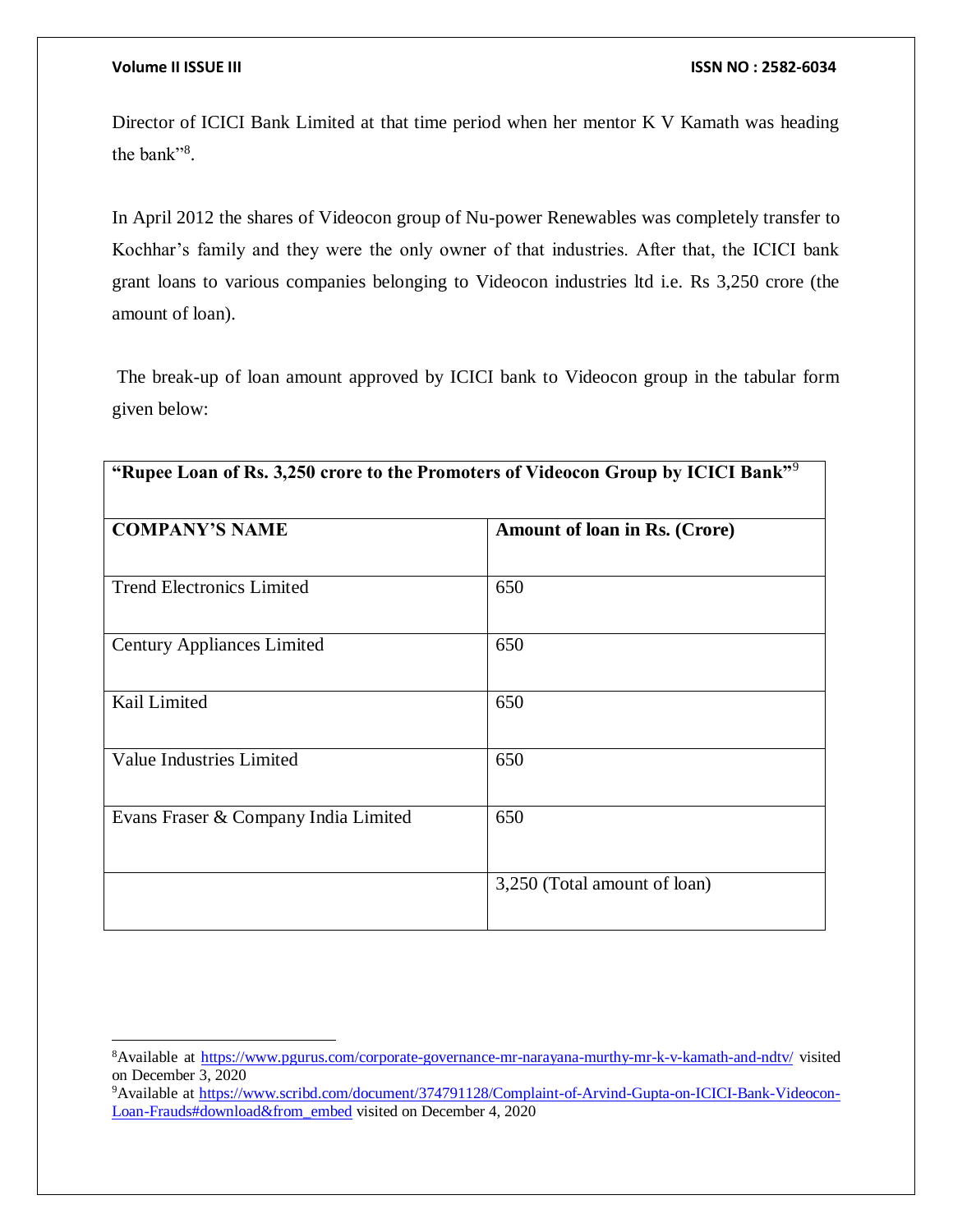$\overline{a}$ 

Director of ICICI Bank Limited at that time period when her mentor K V Kamath was heading the bank"<sup>8</sup>.

In April 2012 the shares of Videocon group of Nu-power Renewables was completely transfer to Kochhar's family and they were the only owner of that industries. After that, the ICICI bank grant loans to various companies belonging to Videocon industries ltd i.e. Rs 3,250 crore (the amount of loan).

The break-up of loan amount approved by ICICI bank to Videocon group in the tabular form given below:

| "Rupee Loan of Rs. 3,250 crore to the Promoters of Videocon Group by ICICI Bank" <sup>9</sup> |                               |
|-----------------------------------------------------------------------------------------------|-------------------------------|
| <b>COMPANY'S NAME</b>                                                                         | Amount of loan in Rs. (Crore) |
| <b>Trend Electronics Limited</b>                                                              | 650                           |
| <b>Century Appliances Limited</b>                                                             | 650                           |
| Kail Limited                                                                                  | 650                           |
| <b>Value Industries Limited</b>                                                               | 650                           |
| Evans Fraser & Company India Limited                                                          | 650                           |
|                                                                                               | 3,250 (Total amount of loan)  |

<sup>8</sup>Available at<https://www.pgurus.com/corporate-governance-mr-narayana-murthy-mr-k-v-kamath-and-ndtv/> visited on December 3, 2020

<sup>9</sup>Available at [https://www.scribd.com/document/374791128/Complaint-of-Arvind-Gupta-on-ICICI-Bank-Videocon-](https://www.scribd.com/document/374791128/Complaint-of-Arvind-Gupta-on-ICICI-Bank-Videocon-Loan-Frauds#download&from_embed)[Loan-Frauds#download&from\\_embed](https://www.scribd.com/document/374791128/Complaint-of-Arvind-Gupta-on-ICICI-Bank-Videocon-Loan-Frauds#download&from_embed) visited on December 4, 2020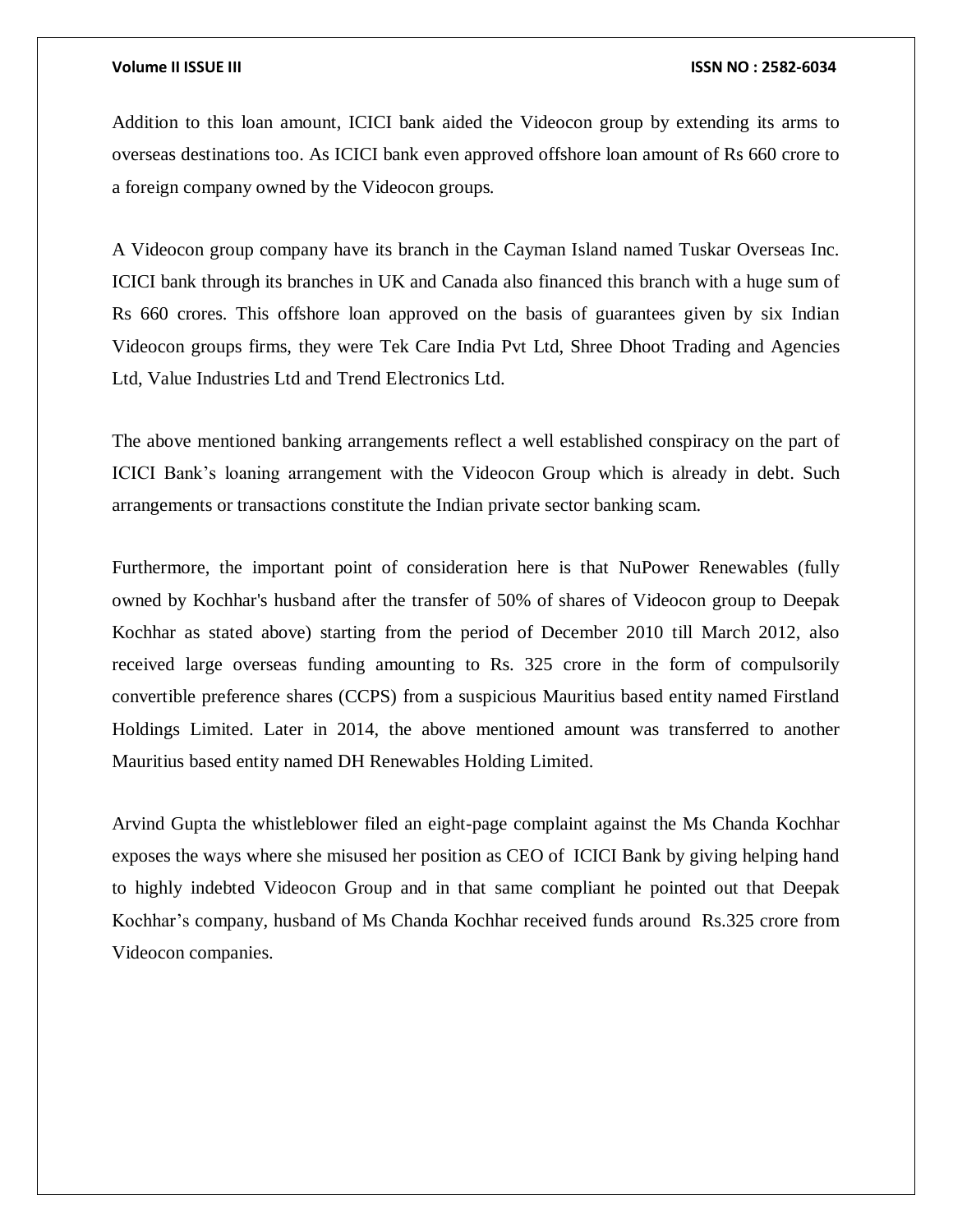Addition to this loan amount, ICICI bank aided the Videocon group by extending its arms to overseas destinations too. As ICICI bank even approved offshore loan amount of Rs 660 crore to a foreign company owned by the Videocon groups.

A Videocon group company have its branch in the Cayman Island named Tuskar Overseas Inc. ICICI bank through its branches in UK and Canada also financed this branch with a huge sum of Rs 660 crores. This offshore loan approved on the basis of guarantees given by six Indian Videocon groups firms, they were Tek Care India Pvt Ltd, Shree Dhoot Trading and Agencies Ltd, Value Industries Ltd and Trend Electronics Ltd.

The above mentioned banking arrangements reflect a well established conspiracy on the part of ICICI Bank's loaning arrangement with the Videocon Group which is already in debt. Such arrangements or transactions constitute the Indian private sector banking scam.

Furthermore, the important point of consideration here is that NuPower Renewables (fully owned by Kochhar's husband after the transfer of 50% of shares of Videocon group to Deepak Kochhar as stated above) starting from the period of December 2010 till March 2012, also received large overseas funding amounting to Rs. 325 crore in the form of compulsorily convertible preference shares (CCPS) from a suspicious Mauritius based entity named Firstland Holdings Limited. Later in 2014, the above mentioned amount was transferred to another Mauritius based entity named DH Renewables Holding Limited.

Arvind Gupta the whistleblower filed an eight-page complaint against the Ms Chanda Kochhar exposes the ways where she misused her position as CEO of ICICI Bank by giving helping hand to highly indebted Videocon Group and in that same compliant he pointed out that Deepak Kochhar's company, husband of Ms Chanda Kochhar received funds around Rs.325 crore from Videocon companies.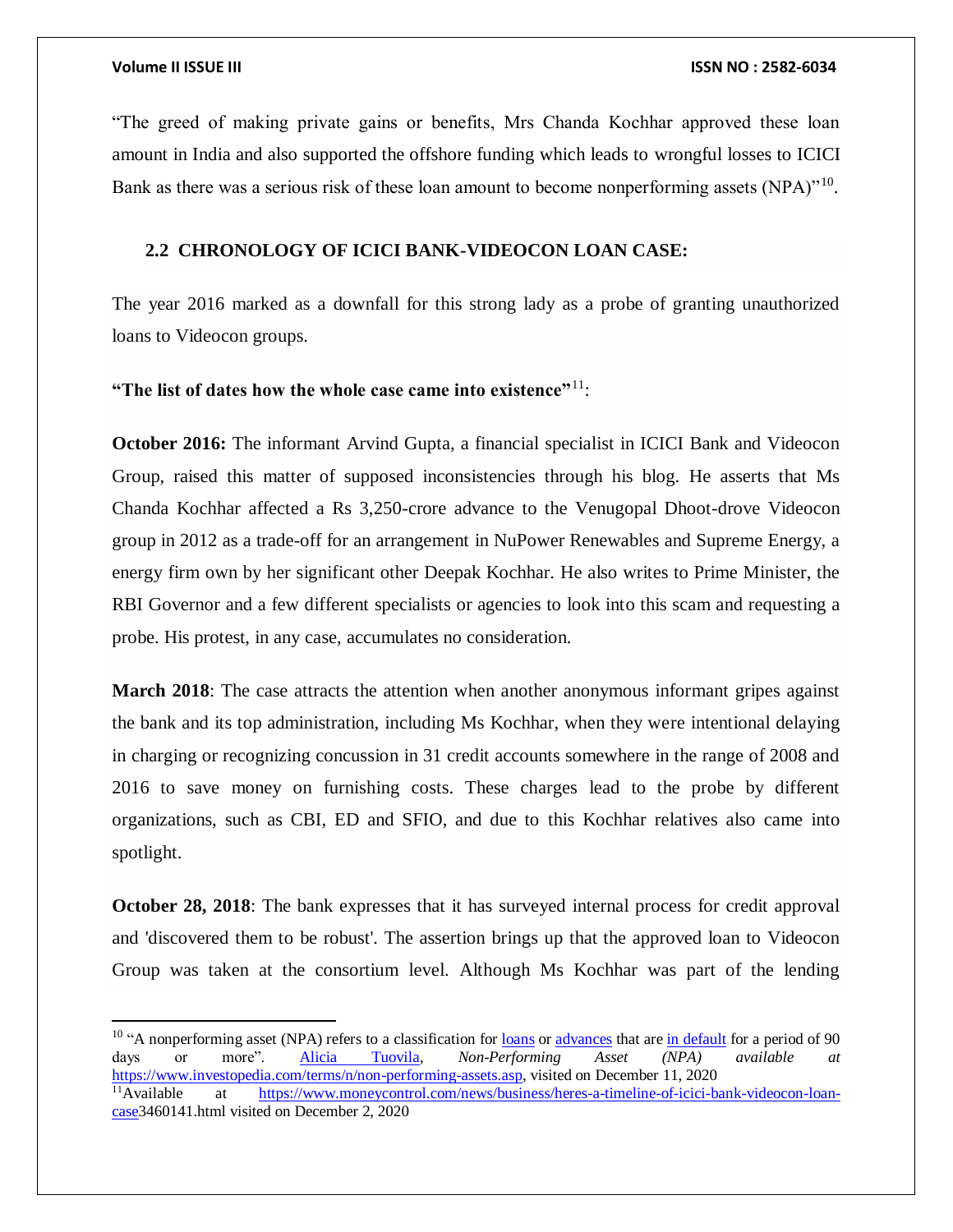$\overline{a}$ 

"The greed of making private gains or benefits, Mrs Chanda Kochhar approved these loan amount in India and also supported the offshore funding which leads to wrongful losses to ICICI Bank as there was a serious risk of these loan amount to become nonperforming assets (NPA)"<sup>10</sup>.

## **2.2 CHRONOLOGY OF ICICI BANK-VIDEOCON LOAN CASE:**

The year 2016 marked as a downfall for this strong lady as a probe of granting unauthorized loans to Videocon groups.

### **"The list of dates how the whole case came into existence"**<sup>11</sup>:

**October 2016:** The informant Arvind Gupta, a financial specialist in ICICI Bank and Videocon Group, raised this matter of supposed inconsistencies through his blog. He asserts that Ms Chanda Kochhar affected a Rs 3,250-crore advance to the Venugopal Dhoot-drove Videocon group in 2012 as a trade-off for an arrangement in NuPower Renewables and Supreme Energy, a energy firm own by her significant other Deepak Kochhar. He also writes to Prime Minister, the RBI Governor and a few different specialists or agencies to look into this scam and requesting a probe. His protest, in any case, accumulates no consideration.

**March 2018**: The case attracts the attention when another anonymous informant gripes against the bank and its top administration, including Ms Kochhar, when they were intentional delaying in charging or recognizing concussion in 31 credit accounts somewhere in the range of 2008 and 2016 to save money on furnishing costs. These charges lead to the probe by different organizations, such as CBI, ED and SFIO, and due to this Kochhar relatives also came into spotlight.

**October 28, 2018**: The bank expresses that it has surveyed internal process for credit approval and 'discovered them to be robust'. The assertion brings up that the approved loan to Videocon Group was taken at the consortium level. Although Ms Kochhar was part of the lending

<sup>&</sup>lt;sup>10</sup> "A nonperforming asset (NPA) refers to a classification for <u>[loans](https://www.investopedia.com/terms/l/loan.asp)</u> or [advances](https://www.investopedia.com/terms/a/advance-funding.asp) that are [in default](https://www.investopedia.com/terms/d/default2.asp) for a period of 90 days or more". [Alicia Tuovila,](https://www.investopedia.com/alicia-tuovila-4687215) *Non-Performing Asset (NPA) available at*  [https://www.investopedia.com/terms/n/non-performing-assets.asp,](https://www.investopedia.com/terms/n/non-performing-assets.asp) visited on December 11, 2020 11Available at [https://www.moneycontrol.com/news/business/heres-a-timeline-of-icici-bank-videocon-loan](https://www.moneycontrol.com/news/business/heres-a-timeline-of-icici-bank-videocon-loan-case)[case3](https://www.moneycontrol.com/news/business/heres-a-timeline-of-icici-bank-videocon-loan-case)460141.html visited on December 2, 2020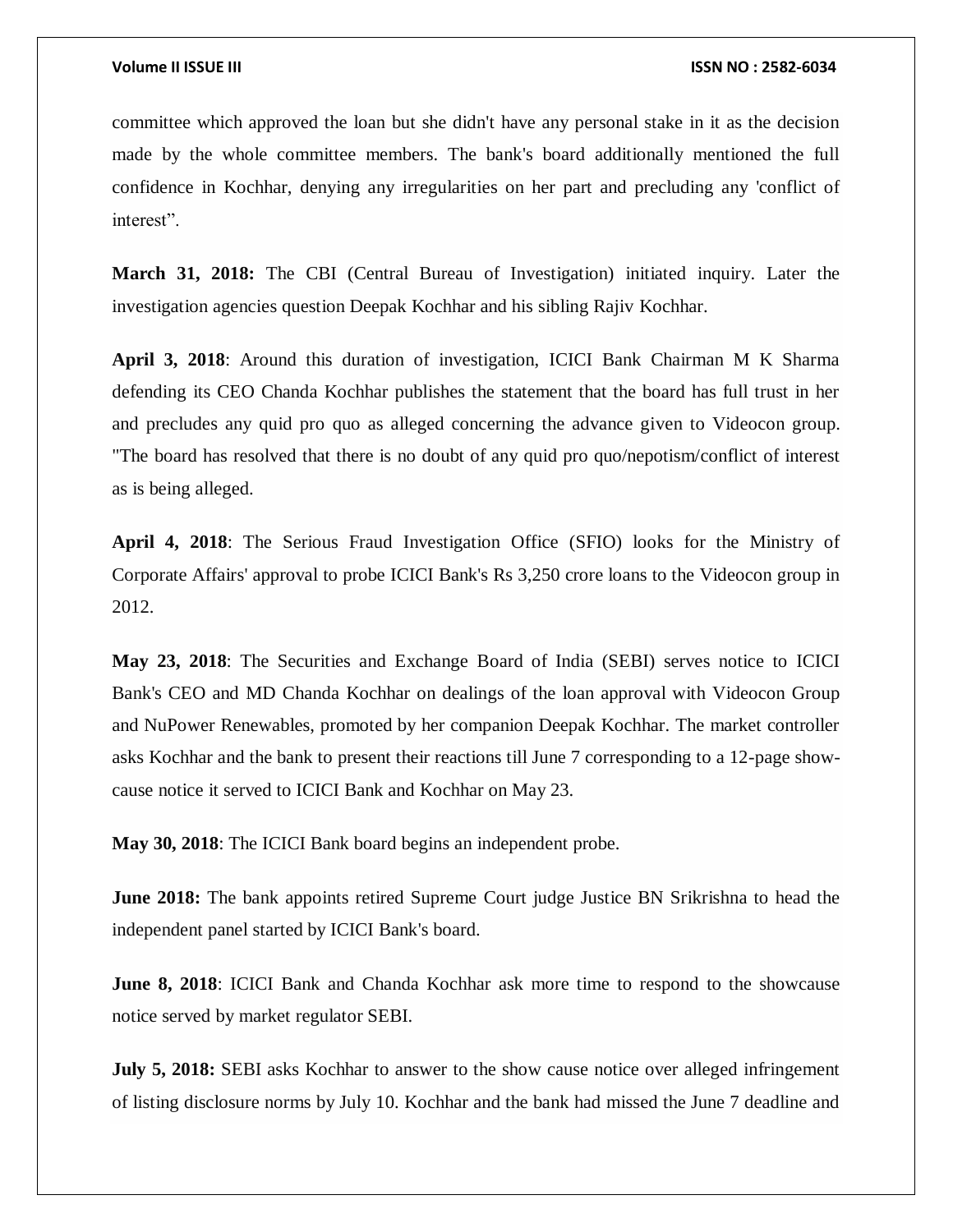committee which approved the loan but she didn't have any personal stake in it as the decision made by the whole committee members. The bank's board additionally mentioned the full confidence in Kochhar, denying any irregularities on her part and precluding any 'conflict of interest".

**March 31, 2018:** The CBI (Central Bureau of Investigation) initiated inquiry. Later the investigation agencies question Deepak Kochhar and his sibling Rajiv Kochhar.

**April 3, 2018**: Around this duration of investigation, ICICI Bank Chairman M K Sharma defending its CEO Chanda Kochhar publishes the statement that the board has full trust in her and precludes any quid pro quo as alleged concerning the advance given to Videocon group. "The board has resolved that there is no doubt of any quid pro quo/nepotism/conflict of interest as is being alleged.

**April 4, 2018**: The Serious Fraud Investigation Office (SFIO) looks for the Ministry of Corporate Affairs' approval to probe ICICI Bank's Rs 3,250 crore loans to the Videocon group in 2012.

**May 23, 2018**: The Securities and Exchange Board of India (SEBI) serves notice to ICICI Bank's CEO and MD Chanda Kochhar on dealings of the loan approval with Videocon Group and NuPower Renewables, promoted by her companion Deepak Kochhar. The market controller asks Kochhar and the bank to present their reactions till June 7 corresponding to a 12-page showcause notice it served to ICICI Bank and Kochhar on May 23.

**May 30, 2018**: The ICICI Bank board begins an independent probe.

**June 2018:** The bank appoints retired Supreme Court judge Justice BN Srikrishna to head the independent panel started by ICICI Bank's board.

**June 8, 2018**: ICICI Bank and Chanda Kochhar ask more time to respond to the showcause notice served by market regulator SEBI.

**July 5, 2018:** SEBI asks Kochhar to answer to the show cause notice over alleged infringement of listing disclosure norms by July 10. Kochhar and the bank had missed the June 7 deadline and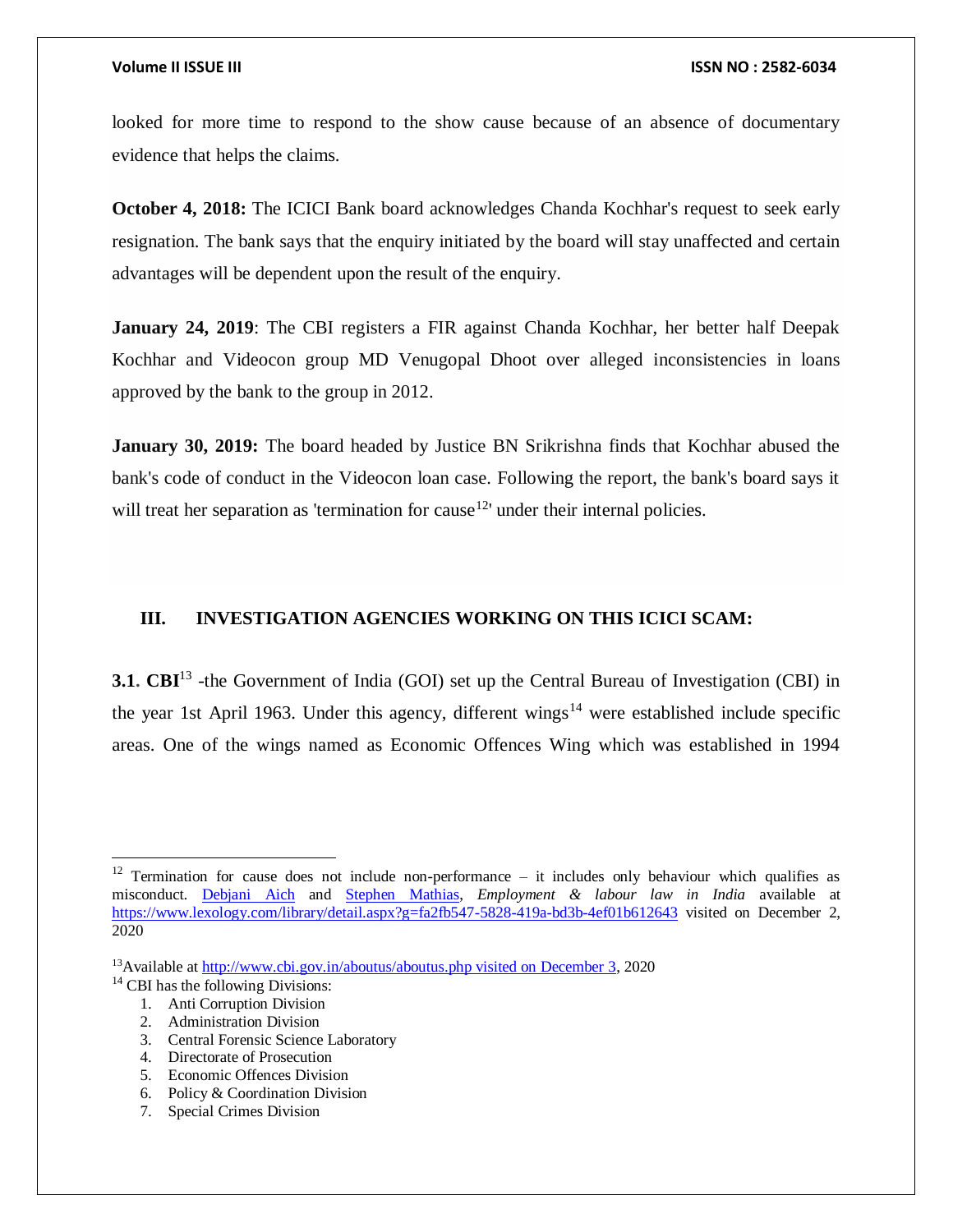looked for more time to respond to the show cause because of an absence of documentary evidence that helps the claims.

**October 4, 2018:** The ICICI Bank board acknowledges Chanda Kochhar's request to seek early resignation. The bank says that the enquiry initiated by the board will stay unaffected and certain advantages will be dependent upon the result of the enquiry.

**January 24, 2019**: The CBI registers a FIR against Chanda Kochhar, her better half Deepak Kochhar and Videocon group MD Venugopal Dhoot over alleged inconsistencies in loans approved by the bank to the group in 2012.

**January 30, 2019:** The board headed by Justice BN Srikrishna finds that Kochhar abused the bank's code of conduct in the Videocon loan case. Following the report, the bank's board says it will treat her separation as 'termination for cause $12<sup>i</sup>$  under their internal policies.

# **III. INVESTIGATION AGENCIES WORKING ON THIS ICICI SCAM:**

**3.1. CBI**<sup>13</sup> -the Government of India (GOI) set up the Central Bureau of Investigation (CBI) in the year 1st April 1963. Under this agency, different wings<sup>14</sup> were established include specific areas. One of the wings named as Economic Offences Wing which was established in 1994

 $\overline{\phantom{a}}$ 

- 1. Anti Corruption Division
- 2. Administration Division
- 3. Central Forensic Science Laboratory
- 4. Directorate of Prosecution
- 5. Economic Offences Division
- 6. Policy & Coordination Division
- 7. Special Crimes Division

<sup>&</sup>lt;sup>12</sup> Termination for cause does not include non-performance – it includes only behaviour which qualifies as misconduct. [Debjani Aich](https://www.lexology.com/17006/author/Debjani_Aich/) and [Stephen Mathias,](https://www.lexology.com/17006/author/Stephen_Mathias/) *Employment & labour law in India* available at <https://www.lexology.com/library/detail.aspx?g=fa2fb547-5828-419a-bd3b-4ef01b612643> visited on December 2, 2020

<sup>&</sup>lt;sup>13</sup>Available a[t http://www.cbi.gov.in/aboutus/aboutus.php visited on December 3,](http://www.cbi.gov.in/aboutus/aboutus.php%20visited%20on%20December%203) 2020

<sup>&</sup>lt;sup>14</sup> CBI has the following Divisions: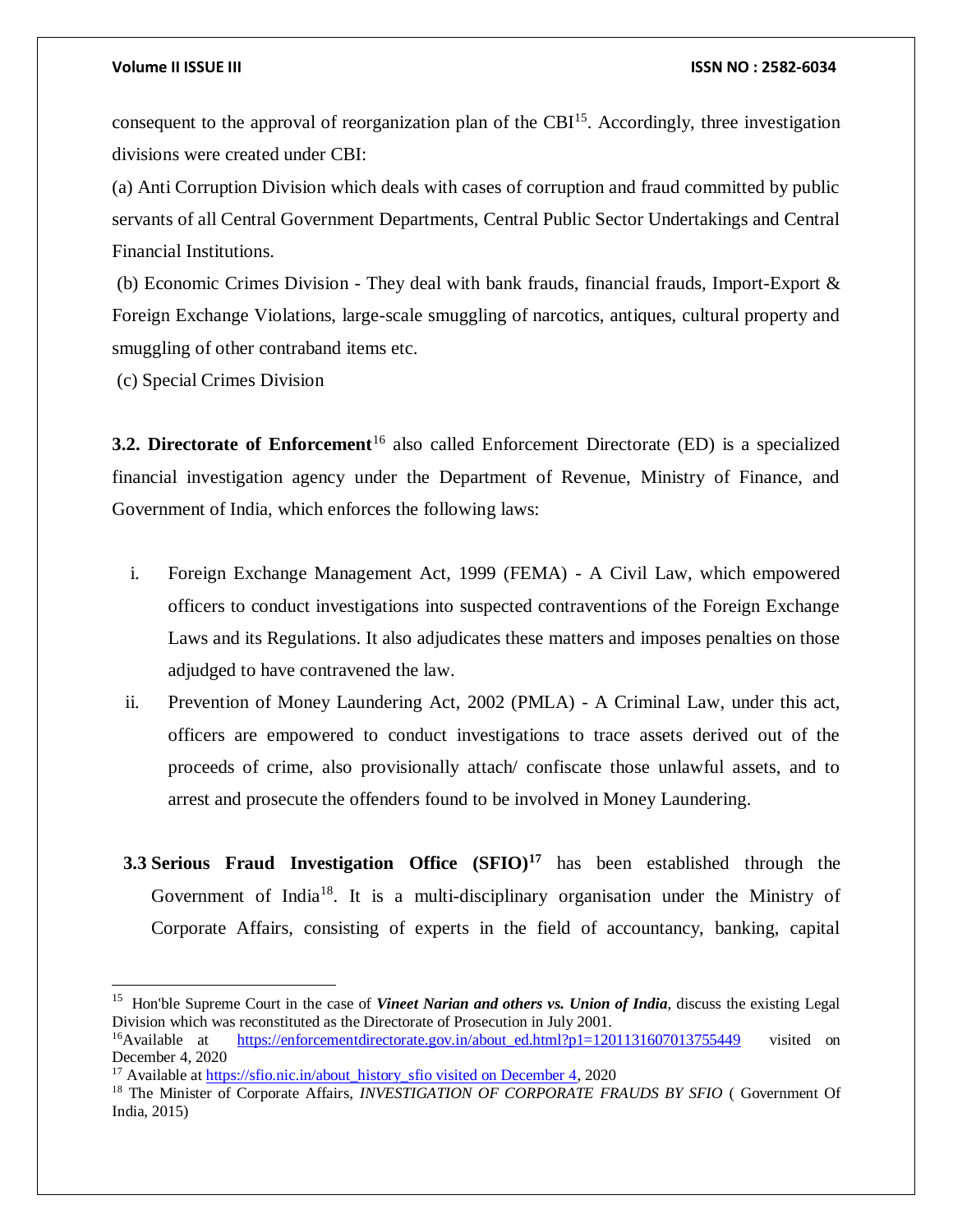consequent to the approval of reorganization plan of the  $CBI<sup>15</sup>$ . Accordingly, three investigation divisions were created under CBI:

(a) Anti Corruption Division which deals with cases of corruption and fraud committed by public servants of all Central Government Departments, Central Public Sector Undertakings and Central Financial Institutions.

(b) Economic Crimes Division - They deal with bank frauds, financial frauds, Import-Export & Foreign Exchange Violations, large-scale smuggling of narcotics, antiques, cultural property and smuggling of other contraband items etc.

(c) Special Crimes Division

 $\overline{\phantom{a}}$ 

**3.2. Directorate of Enforcement**<sup>16</sup> also called Enforcement Directorate (ED) is a specialized financial investigation agency under the Department of Revenue, Ministry of Finance, and Government of India, which enforces the following laws:

- i. Foreign Exchange Management Act, 1999 (FEMA) A Civil Law, which empowered officers to conduct investigations into suspected contraventions of the Foreign Exchange Laws and its Regulations. It also adjudicates these matters and imposes penalties on those adjudged to have contravened the law.
- ii. Prevention of Money Laundering Act, 2002 (PMLA) A Criminal Law, under this act, officers are empowered to conduct investigations to trace assets derived out of the proceeds of crime, also provisionally attach/ confiscate those unlawful assets, and to arrest and prosecute the offenders found to be involved in Money Laundering.
- **3.3 Serious Fraud Investigation Office (SFIO)<sup>17</sup>** has been established through the Government of India<sup>18</sup>. It is a multi-disciplinary organisation under the Ministry of Corporate Affairs, consisting of experts in the field of accountancy, banking, capital

<sup>&</sup>lt;sup>15</sup> Hon'ble Supreme Court in the case of *Vineet Narian and others vs. Union of India*, discuss the existing Legal Division which was reconstituted as the Directorate of Prosecution in July 2001.

<sup>&</sup>lt;sup>16</sup>Available at [https://enforcementdirectorate.gov.in/about\\_ed.html?p1=1201131607013755449](https://enforcementdirectorate.gov.in/about_ed.html?p1=1201131607013755449) visited on December 4, 2020

<sup>&</sup>lt;sup>17</sup> Available at [https://sfio.nic.in/about\\_history\\_sfio visited on December 4,](https://sfio.nic.in/about_history_sfio%20visited%20on%20december%204) 2020

<sup>&</sup>lt;sup>18</sup> The Minister of Corporate Affairs, *INVESTIGATION OF CORPORATE FRAUDS BY SFIO* (Government Of India, 2015)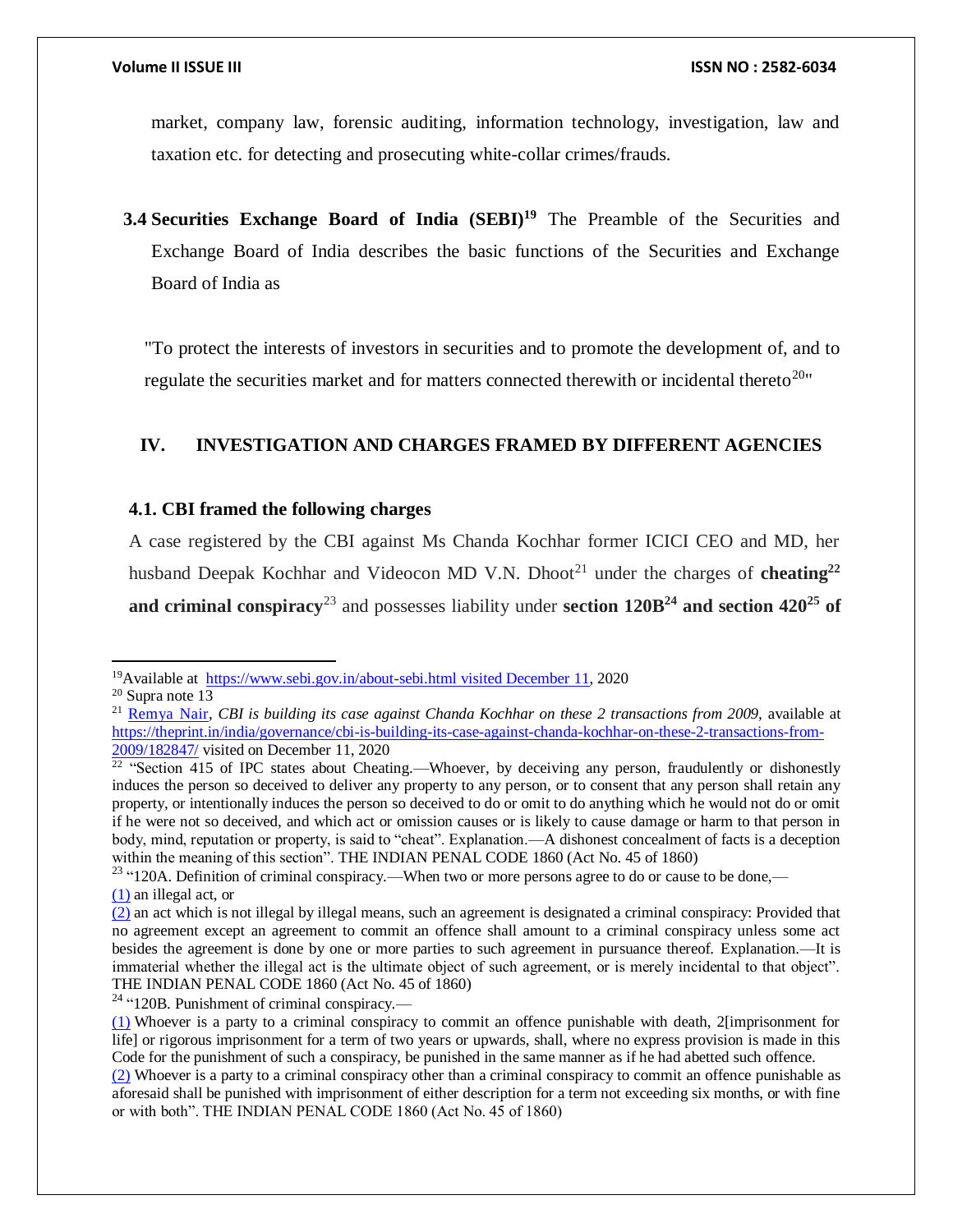market, company law, forensic auditing, information technology, investigation, law and taxation etc. for detecting and prosecuting white-collar crimes/frauds.

**3.4 Securities Exchange Board of India (SEBI)<sup>19</sup>** The Preamble of the Securities and Exchange Board of India describes the basic functions of the Securities and Exchange Board of India as

"To protect the interests of investors in securities and to promote the development of, and to regulate the securities market and for matters connected therewith or incidental thereto<sup>20</sup>"

# **IV. INVESTIGATION AND CHARGES FRAMED BY DIFFERENT AGENCIES**

### **4.1. CBI framed the following charges**

A case registered by the CBI against Ms Chanda Kochhar former ICICI CEO and MD, her husband Deepak Kochhar and Videocon MD V.N. Dhoot<sup>21</sup> under the charges of **cheating**<sup>22</sup> and criminal conspiracy<sup>23</sup> and possesses liability under section  $120B<sup>24</sup>$  and section  $420<sup>25</sup>$  of

<sup>&</sup>lt;sup>19</sup>Available at [https://www.sebi.gov.in/about-sebi.html visited December 11,](https://www.sebi.gov.in/about-sebi.html%20visited%20December%2011) 2020

<sup>20</sup> Supra note 13

<sup>&</sup>lt;sup>21</sup> [Remya Nair,](https://theprint.in/author/remya-nair/) *CBI* is building its case against Chanda Kochhar on these 2 transactions from 2009, available at [https://theprint.in/india/governance/cbi-is-building-its-case-against-chanda-kochhar-on-these-2-transactions-from-](https://theprint.in/india/governance/cbi-is-building-its-case-against-chanda-kochhar-on-these-2-transactions-from-2009/182847/)[2009/182847/](https://theprint.in/india/governance/cbi-is-building-its-case-against-chanda-kochhar-on-these-2-transactions-from-2009/182847/) visited on December 11, 2020

 $22$  "Section 415 of IPC states about Cheating.—Whoever, by deceiving any person, fraudulently or dishonestly induces the person so deceived to deliver any property to any person, or to consent that any person shall retain any property, or intentionally induces the person so deceived to do or omit to do anything which he would not do or omit if he were not so deceived, and which act or omission causes or is likely to cause damage or harm to that person in body, mind, reputation or property, is said to "cheat". Explanation.—A dishonest concealment of facts is a deception within the meaning of this section". THE INDIAN PENAL CODE 1860 (Act No. 45 of 1860)

<sup>&</sup>lt;sup>23</sup> "120A. Definition of criminal conspiracy.—When two or more persons agree to do or cause to be done,— [\(1\)](https://indiankanoon.org/doc/1345425/) an illegal act, or

[<sup>\(2\)</sup>](https://indiankanoon.org/doc/1856199/) an act which is not illegal by illegal means, such an agreement is designated a criminal conspiracy: Provided that no agreement except an agreement to commit an offence shall amount to a criminal conspiracy unless some act besides the agreement is done by one or more parties to such agreement in pursuance thereof. Explanation.—It is immaterial whether the illegal act is the ultimate object of such agreement, or is merely incidental to that object". THE INDIAN PENAL CODE 1860 (Act No. 45 of 1860)

 $24$  "120B. Punishment of criminal conspiracy.—

[<sup>\(1\)</sup>](https://indiankanoon.org/doc/81396/) Whoever is a party to a criminal conspiracy to commit an offence punishable with death, 2[imprisonment for life] or rigorous imprisonment for a term of two years or upwards, shall, where no express provision is made in this Code for the punishment of such a conspiracy, be punished in the same manner as if he had abetted such offence.

[<sup>\(2\)</sup>](https://indiankanoon.org/doc/822448/) Whoever is a party to a criminal conspiracy other than a criminal conspiracy to commit an offence punishable as aforesaid shall be punished with imprisonment of either description for a term not exceeding six months, or with fine or with both". THE INDIAN PENAL CODE 1860 (Act No. 45 of 1860)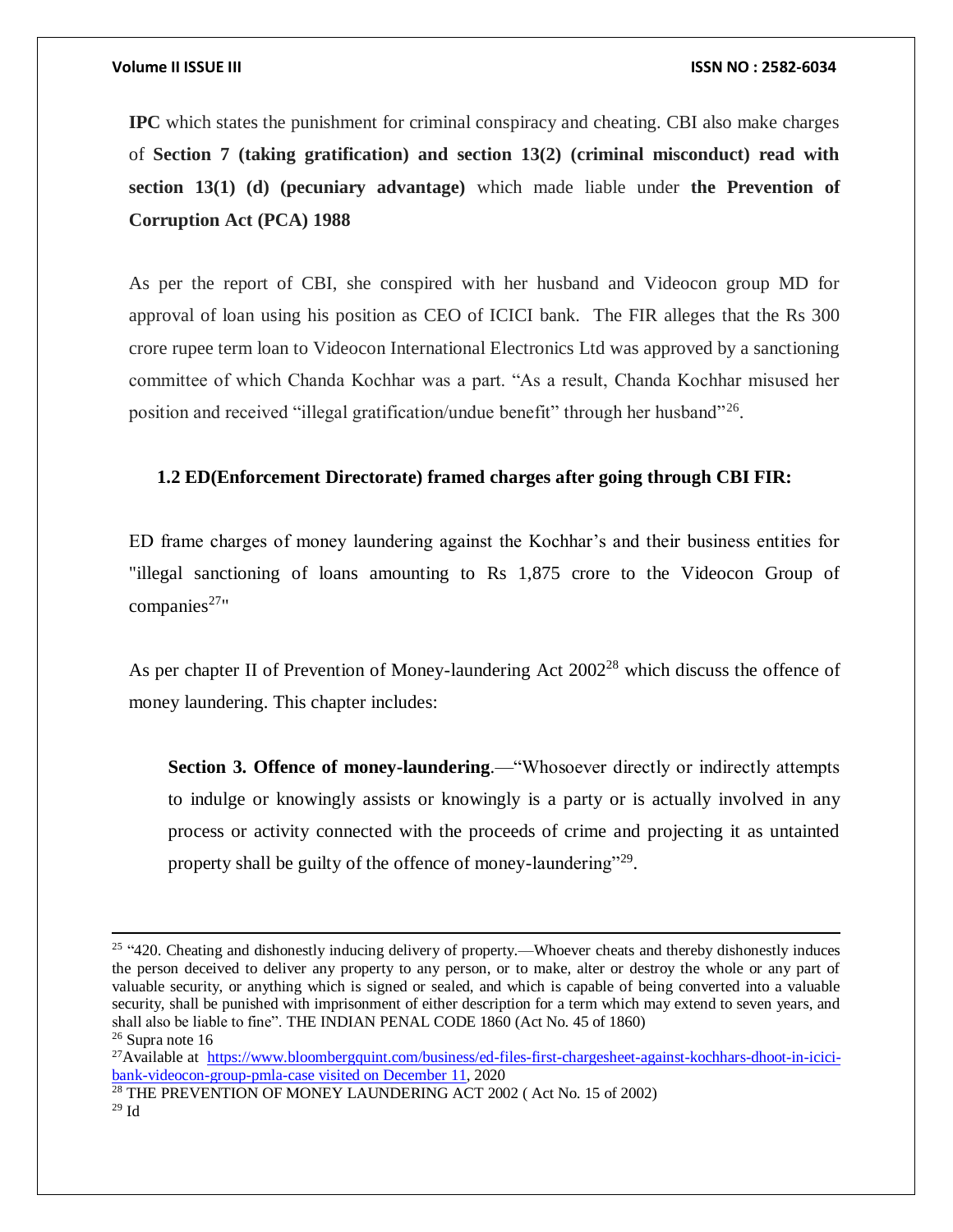**IPC** which states the punishment for criminal conspiracy and cheating. CBI also make charges of **Section 7 (taking gratification) and section 13(2) (criminal misconduct) read with section 13(1) (d) (pecuniary advantage)** which made liable under **the Prevention of Corruption Act (PCA) 1988**

As per the report of CBI, she conspired with her husband and Videocon group MD for approval of loan using his position as CEO of ICICI bank. The FIR alleges that the Rs 300 crore rupee term loan to Videocon International Electronics Ltd was approved by a sanctioning committee of which Chanda Kochhar was a part. "As a result, Chanda Kochhar misused her position and received "illegal gratification/undue benefit" through her husband"<sup>26</sup>.

## **1.2 ED(Enforcement Directorate) framed charges after going through CBI FIR:**

ED frame charges of money laundering against the Kochhar's and their business entities for "illegal sanctioning of loans amounting to Rs 1,875 crore to the Videocon Group of  $companies<sup>27</sup>$ "

As per chapter II of Prevention of Money-laundering Act 2002<sup>28</sup> which discuss the offence of money laundering. This chapter includes:

**Section 3. Offence of money-laundering.—**"Whosoever directly or indirectly attempts to indulge or knowingly assists or knowingly is a party or is actually involved in any process or activity connected with the proceeds of crime and projecting it as untainted property shall be guilty of the offence of money-laundering"<sup>29</sup>.

<sup>26</sup> Supra note 16

<sup>&</sup>lt;sup>25</sup> "420. Cheating and dishonestly inducing delivery of property.—Whoever cheats and thereby dishonestly induces the person deceived to deliver any property to any person, or to make, alter or destroy the whole or any part of valuable security, or anything which is signed or sealed, and which is capable of being converted into a valuable security, shall be punished with imprisonment of either description for a term which may extend to seven years, and shall also be liable to fine". THE INDIAN PENAL CODE 1860 (Act No. 45 of 1860)

<sup>27</sup>Available at [https://www.bloombergquint.com/business/ed-files-first-chargesheet-against-kochhars-dhoot-in-icici](https://www.bloombergquint.com/business/ed-files-first-chargesheet-against-kochhars-dhoot-in-icici-bank-videocon-group-pmla-case%20visited%20on%20Decemeber%2011)[bank-videocon-group-pmla-case visited on December 11,](https://www.bloombergquint.com/business/ed-files-first-chargesheet-against-kochhars-dhoot-in-icici-bank-videocon-group-pmla-case%20visited%20on%20Decemeber%2011) 2020

<sup>28</sup> THE PREVENTION OF MONEY LAUNDERING ACT 2002 ( Act No. 15 of 2002) <sup>29</sup> Id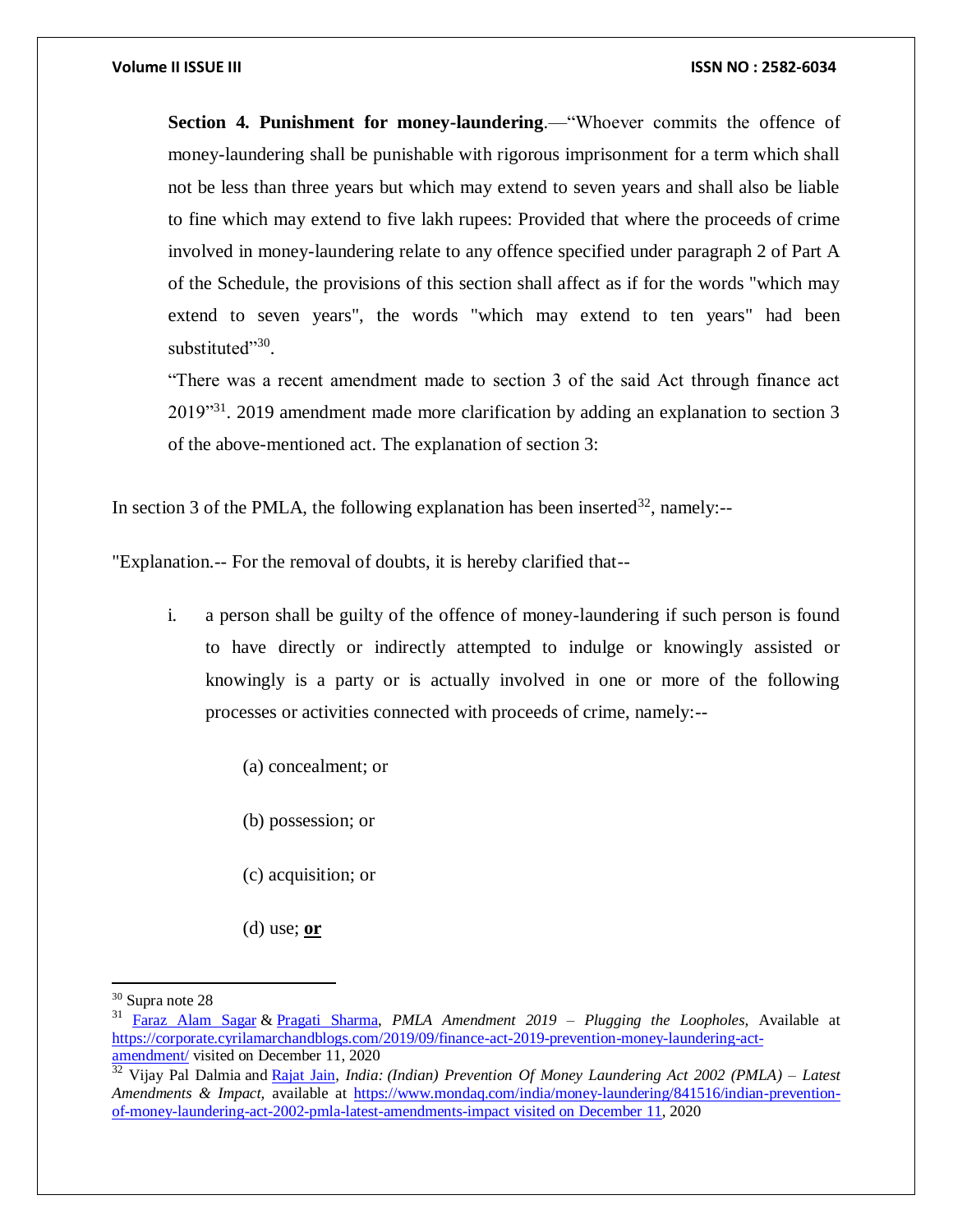**Section 4. Punishment for money-laundering.—**"Whoever commits the offence of money-laundering shall be punishable with rigorous imprisonment for a term which shall not be less than three years but which may extend to seven years and shall also be liable to fine which may extend to five lakh rupees: Provided that where the proceeds of crime involved in money-laundering relate to any offence specified under paragraph 2 of Part A of the Schedule, the provisions of this section shall affect as if for the words "which may extend to seven years", the words "which may extend to ten years" had been substituted"<sup>30</sup>.

"There was a recent amendment made to section 3 of the said Act through finance act 2019"<sup>31</sup>. 2019 amendment made more clarification by adding an explanation to section 3 of the above-mentioned act. The explanation of section 3:

In section 3 of the PMLA, the following explanation has been inserted  $32$ , namely:--

"Explanation.-- For the removal of doubts, it is hereby clarified that--

- i. a person shall be guilty of the offence of money-laundering if such person is found to have directly or indirectly attempted to indulge or knowingly assisted or knowingly is a party or is actually involved in one or more of the following processes or activities connected with proceeds of crime, namely:--
	- (a) concealment; or
	- (b) possession; or
	- (c) acquisition; or
	- (d) use; **or**

<sup>30</sup> Supra note 28

<sup>31</sup> [Faraz Alam Sagar](https://corporate.cyrilamarchandblogs.com/author/faraz-sagar/) & [Pragati Sharma,](https://corporate.cyrilamarchandblogs.com/author/pragati-sharma/) *PMLA Amendment 2019 – Plugging the Loopholes,* Available at [https://corporate.cyrilamarchandblogs.com/2019/09/finance-act-2019-prevention-money-laundering-act](https://corporate.cyrilamarchandblogs.com/2019/09/finance-act-2019-prevention-money-laundering-act-amendment/)[amendment/](https://corporate.cyrilamarchandblogs.com/2019/09/finance-act-2019-prevention-money-laundering-act-amendment/) visited on December 11, 2020

<sup>32</sup> Vijay Pal Dalmia and [Rajat Jain,](https://www.mondaq.com/Home/Redirect/1443354?mode=author&article_id=841516) *India: (Indian) Prevention Of Money Laundering Act 2002 (PMLA) – Latest Amendments & Impact,* available at [https://www.mondaq.com/india/money-laundering/841516/indian-prevention](https://www.mondaq.com/india/money-laundering/841516/indian-prevention-of-money-laundering-act-2002-pmla-latest-amendments-impact%20visited%20on%20december%2011)[of-money-laundering-act-2002-pmla-latest-amendments-impact visited on December 11,](https://www.mondaq.com/india/money-laundering/841516/indian-prevention-of-money-laundering-act-2002-pmla-latest-amendments-impact%20visited%20on%20december%2011) 2020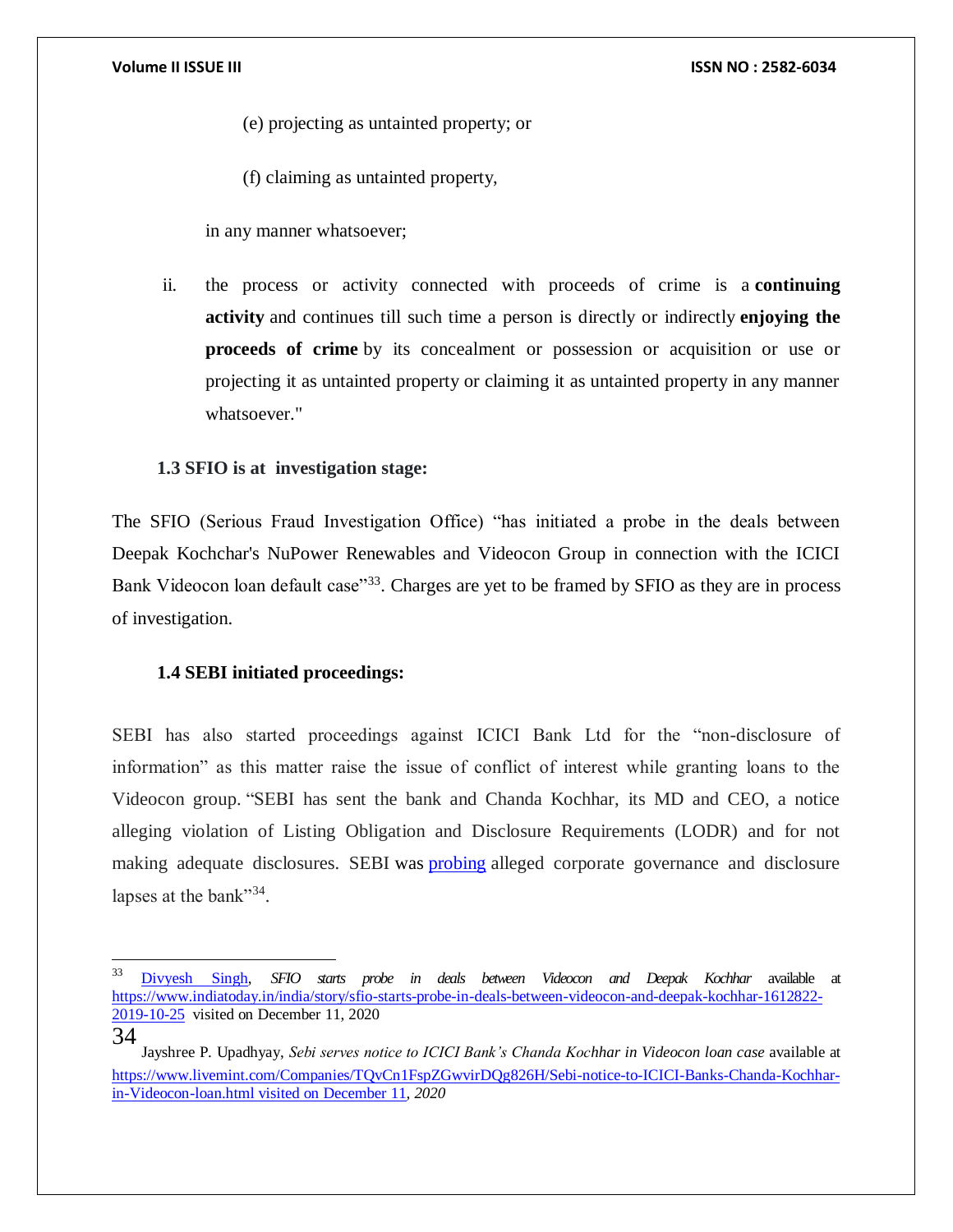(e) projecting as untainted property; or

(f) claiming as untainted property,

in any manner whatsoever;

ii. the process or activity connected with proceeds of crime is a **continuing activity** and continues till such time a person is directly or indirectly **enjoying the proceeds of crime** by its concealment or possession or acquisition or use or projecting it as untainted property or claiming it as untainted property in any manner whatsoever."

# **1.3 SFIO is at investigation stage:**

The SFIO (Serious Fraud Investigation Office) "has initiated a probe in the deals between Deepak Kochchar's NuPower Renewables and Videocon Group in connection with the ICICI Bank Videocon loan default case<sup>33</sup>. Charges are yet to be framed by SFIO as they are in process of investigation.

# **1.4 SEBI initiated proceedings:**

SEBI has also started proceedings against ICICI Bank Ltd for the "non-disclosure of information" as this matter raise the issue of conflict of interest while granting loans to the Videocon group. "SEBI has sent the bank and Chanda Kochhar, its MD and CEO, a notice alleging violation of Listing Obligation and Disclosure Requirements (LODR) and for not making adequate disclosures. SEBI was [probing](https://www.livemint.com/Companies/WNO6IZ0GiPcfp0AmirgCVK/Videocon-loan-case-Embattled-ICICI-board-plans-investor-out.html) alleged corporate governance and disclosure lapses at the bank"<sup>34</sup>.

34

 $\overline{\phantom{a}}$ 

<sup>33</sup> [Divyesh Singh,](https://www.indiatoday.in/author/divyesh-singh) *SFIO starts probe in deals between Videocon and Deepak Kochhar* available at [https://www.indiatoday.in/india/story/sfio-starts-probe-in-deals-between-videocon-and-deepak-kochhar-1612822-](https://www.indiatoday.in/india/story/sfio-starts-probe-in-deals-between-videocon-and-deepak-kochhar-1612822-2019-10-25) [2019-10-25](https://www.indiatoday.in/india/story/sfio-starts-probe-in-deals-between-videocon-and-deepak-kochhar-1612822-2019-10-25) visited on December 11, 2020

[Jayshree P. Upadhyay,](https://www.livemint.com/Search/Link/Author/Jayshree-P.-Upadhyay) *Sebi serves notice to ICICI Bank's Chanda Kochhar in Videocon loan case* available at [https://www.livemint.com/Companies/TQvCn1FspZGwvirDQg826H/Sebi-notice-to-ICICI-Banks-Chanda-Kochhar](https://www.livemint.com/Companies/TQvCn1FspZGwvirDQg826H/Sebi-notice-to-ICICI-Banks-Chanda-Kochhar-in-Videocon-loan.html%20visited%20on%20december%2011)[in-Videocon-loan.html visited on December 11](https://www.livemint.com/Companies/TQvCn1FspZGwvirDQg826H/Sebi-notice-to-ICICI-Banks-Chanda-Kochhar-in-Videocon-loan.html%20visited%20on%20december%2011)*, 2020*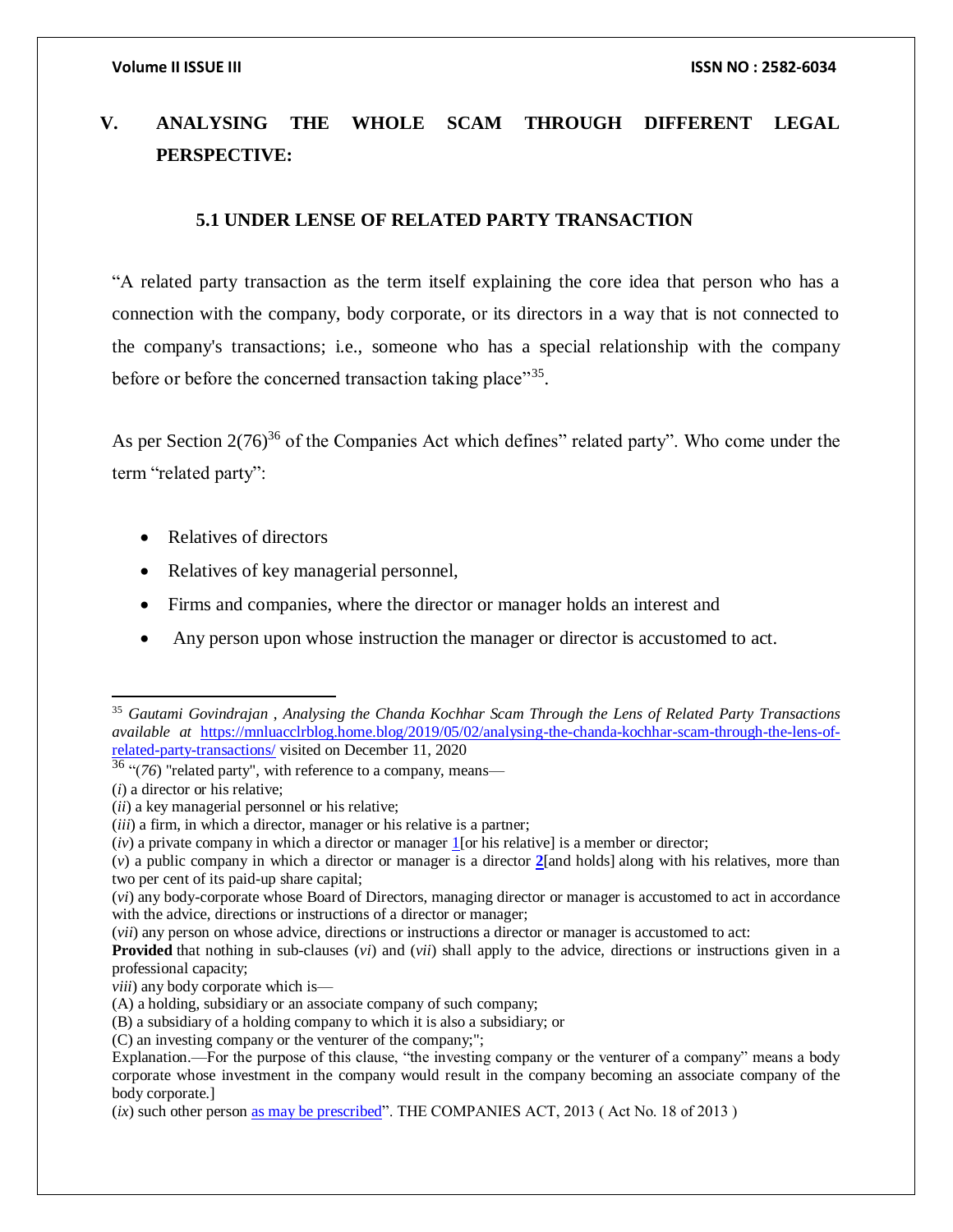# **V. ANALYSING THE WHOLE SCAM THROUGH DIFFERENT LEGAL PERSPECTIVE:**

### **5.1 UNDER LENSE OF RELATED PARTY TRANSACTION**

"A related party transaction as the term itself explaining the core idea that person who has a connection with the company, body corporate, or its directors in a way that is not connected to the company's transactions; i.e., someone who has a special relationship with the company before or before the concerned transaction taking place"<sup>35</sup>.

As per Section  $2(76)^{36}$  of the Companies Act which defines" related party". Who come under the term "related party":

- Relatives of directors
- Relatives of key managerial personnel,
- Firms and companies, where the director or manager holds an interest and
- Any person upon whose instruction the manager or director is accustomed to act.

<sup>36</sup> "(*76*) "related party", with reference to a company, means—

 $\overline{a}$ 

(*iv*) a private company in which a director or manager [1\[](http://ebook.mca.gov.in/Actpagedisplay.aspx?PAGENAME=17381#1111)or his relative] is a member or director;

<sup>35</sup> *Gautami Govindrajan* , *Analysing the Chanda Kochhar Scam Through the Lens of Related Party Transactions available at* [https://mnluacclrblog.home.blog/2019/05/02/analysing-the-chanda-kochhar-scam-through-the-lens-of](https://mnluacclrblog.home.blog/2019/05/02/analysing-the-chanda-kochhar-scam-through-the-lens-of-related-party-transactions/)[related-party-transactions/](https://mnluacclrblog.home.blog/2019/05/02/analysing-the-chanda-kochhar-scam-through-the-lens-of-related-party-transactions/) visited on December 11, 2020

<sup>(</sup>*i*) a director or his relative;

<sup>(</sup>*ii*) a key managerial personnel or his relative;

<sup>(</sup>*iii*) a firm, in which a director, manager or his relative is a partner;

<sup>(</sup>*v*) a public company in which a director or manager is a director **[2](http://ebook.mca.gov.in/Actpagedisplay.aspx?PAGENAME=17381#1112)**[and holds] along with his relatives, more than two per cent of its paid-up share capital;

<sup>(</sup>*vi*) any body-corporate whose Board of Directors, managing director or manager is accustomed to act in accordance with the advice, directions or instructions of a director or manager;

<sup>(</sup>*vii*) any person on whose advice, directions or instructions a director or manager is accustomed to act:

**Provided** that nothing in sub-clauses (*vi*) and (*vii*) shall apply to the advice, directions or instructions given in a professional capacity;

*viii*) any body corporate which is—

<sup>(</sup>A) a holding, subsidiary or an associate company of such company;

<sup>(</sup>B) a subsidiary of a holding company to which it is also a subsidiary; or

<sup>(</sup>C) an investing company or the venturer of the company;";

Explanation.—For the purpose of this clause, "the investing company or the venturer of a company" means a body corporate whose investment in the company would result in the company becoming an associate company of the body corporate.]

<sup>(</sup>*ix*) such other person [as may be prescribed"](http://ebook.mca.gov.in/Actpagedisplay.aspx?PAGENAME=17928). THE COMPANIES ACT, 2013 (Act No. 18 of 2013)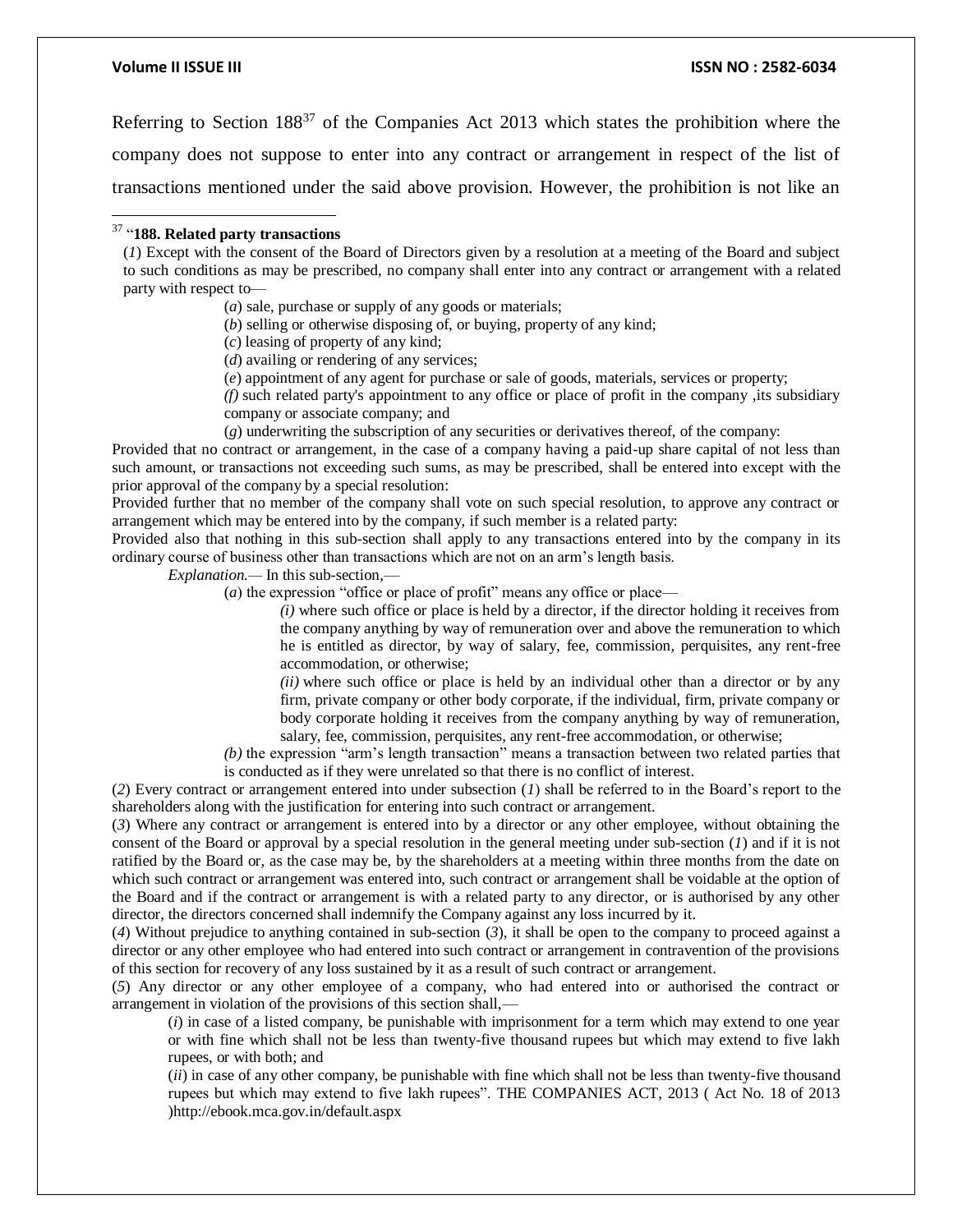$\overline{\phantom{a}}$ 

### **Volume II ISSUE III ISSN NO : 2582-6034**

Referring to Section 188<sup>37</sup> of the Companies Act 2013 which states the prohibition where the company does not suppose to enter into any contract or arrangement in respect of the list of transactions mentioned under the said above provision. However, the prohibition is not like an

### <sup>37</sup> "**188. Related party transactions**

(*a*) sale, purchase or supply of any goods or materials;

(*b*) selling or otherwise disposing of, or buying, property of any kind;

(*c*) leasing of property of any kind;

(*d*) availing or rendering of any services;

(*e*) appointment of any agent for purchase or sale of goods, materials, services or property;

*(f)* such related party's appointment to any office or place of profit in the company ,its subsidiary company or associate company; and

(*g*) underwriting the subscription of any securities or derivatives thereof, of the company:

Provided that no contract or arrangement, in the case of a company having a paid-up share capital of not less than such amount, or transactions not exceeding such sums, as may be prescribed, shall be entered into except with the prior approval of the company by a special resolution:

Provided further that no member of the company shall vote on such special resolution, to approve any contract or arrangement which may be entered into by the company, if such member is a related party:

Provided also that nothing in this sub-section shall apply to any transactions entered into by the company in its ordinary course of business other than transactions which are not on an arm's length basis.

*Explanation.—* In this sub-section,—

(*a*) the expression "office or place of profit" means any office or place—

*(i)* where such office or place is held by a director, if the director holding it receives from the company anything by way of remuneration over and above the remuneration to which he is entitled as director, by way of salary, fee, commission, perquisites, any rent-free accommodation, or otherwise;

*(ii)* where such office or place is held by an individual other than a director or by any firm, private company or other body corporate, if the individual, firm, private company or body corporate holding it receives from the company anything by way of remuneration, salary, fee, commission, perquisites, any rent-free accommodation, or otherwise;

*(b)* the expression "arm's length transaction" means a transaction between two related parties that is conducted as if they were unrelated so that there is no conflict of interest.

(*2*) Every contract or arrangement entered into under subsection (*1*) shall be referred to in the Board's report to the shareholders along with the justification for entering into such contract or arrangement.

(*3*) Where any contract or arrangement is entered into by a director or any other employee, without obtaining the consent of the Board or approval by a special resolution in the general meeting under sub-section (*1*) and if it is not ratified by the Board or, as the case may be, by the shareholders at a meeting within three months from the date on which such contract or arrangement was entered into, such contract or arrangement shall be voidable at the option of the Board and if the contract or arrangement is with a related party to any director, or is authorised by any other director, the directors concerned shall indemnify the Company against any loss incurred by it.

(*4*) Without prejudice to anything contained in sub-section (*3*), it shall be open to the company to proceed against a director or any other employee who had entered into such contract or arrangement in contravention of the provisions of this section for recovery of any loss sustained by it as a result of such contract or arrangement.

(*5*) Any director or any other employee of a company, who had entered into or authorised the contract or arrangement in violation of the provisions of this section shall,—

(*i*) in case of a listed company, be punishable with imprisonment for a term which may extend to one year or with fine which shall not be less than twenty-five thousand rupees but which may extend to five lakh rupees, or with both; and

(*ii*) in case of any other company, be punishable with fine which shall not be less than twenty-five thousand rupees but which may extend to five lakh rupees". THE COMPANIES ACT, 2013 ( Act No. 18 of 2013 )http://ebook.mca.gov.in/default.aspx

<sup>(</sup>*1*) Except with the consent of the Board of Directors given by a resolution at a meeting of the Board and subject to such conditions as may be prescribed, no company shall enter into any contract or arrangement with a related party with respect to—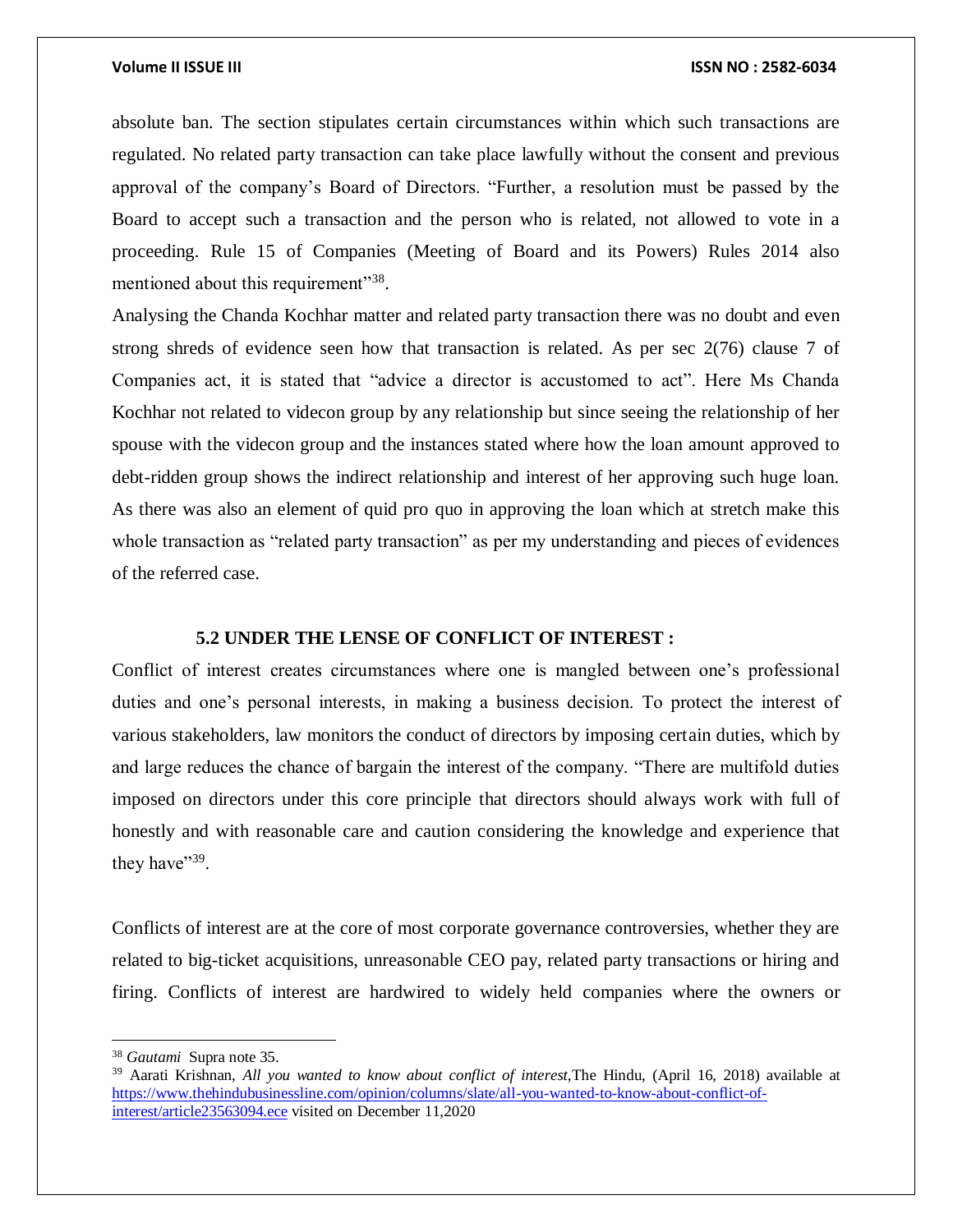absolute ban. The section stipulates certain circumstances within which such transactions are regulated. No related party transaction can take place lawfully without the consent and previous approval of the company's Board of Directors. "Further, a resolution must be passed by the Board to accept such a transaction and the person who is related, not allowed to vote in a proceeding. Rule 15 of Companies (Meeting of Board and its Powers) Rules 2014 also mentioned about this requirement"<sup>38</sup>.

Analysing the Chanda Kochhar matter and related party transaction there was no doubt and even strong shreds of evidence seen how that transaction is related. As per sec 2(76) clause 7 of Companies act, it is stated that "advice a director is accustomed to act". Here Ms Chanda Kochhar not related to videcon group by any relationship but since seeing the relationship of her spouse with the videcon group and the instances stated where how the loan amount approved to debt-ridden group shows the indirect relationship and interest of her approving such huge loan. As there was also an element of quid pro quo in approving the loan which at stretch make this whole transaction as "related party transaction" as per my understanding and pieces of evidences of the referred case.

### **5.2 UNDER THE LENSE OF CONFLICT OF INTEREST :**

Conflict of interest creates circumstances where one is mangled between one's professional duties and one's personal interests, in making a business decision. To protect the interest of various stakeholders, law monitors the conduct of directors by imposing certain duties, which by and large reduces the chance of bargain the interest of the company. "There are multifold duties imposed on directors under this core principle that directors should always work with full of honestly and with reasonable care and caution considering the knowledge and experience that they have" $39$ .

Conflicts of interest are at the core of most corporate governance controversies, whether they are related to big-ticket acquisitions, unreasonable CEO pay, related party transactions or hiring and firing. Conflicts of interest are hardwired to widely held companies where the owners or

<sup>38</sup> *Gautami* Supra note 35.

<sup>39</sup> Aarati Krishnan, *All you wanted to know about conflict of interest,*The Hindu, (April 16, 2018) available at [https://www.thehindubusinessline.com/opinion/columns/slate/all-you-wanted-to-know-about-conflict-of](https://www.thehindubusinessline.com/opinion/columns/slate/all-you-wanted-to-know-about-conflict-of-interest/article23563094.ece)[interest/article23563094.ece](https://www.thehindubusinessline.com/opinion/columns/slate/all-you-wanted-to-know-about-conflict-of-interest/article23563094.ece) visited on December 11,2020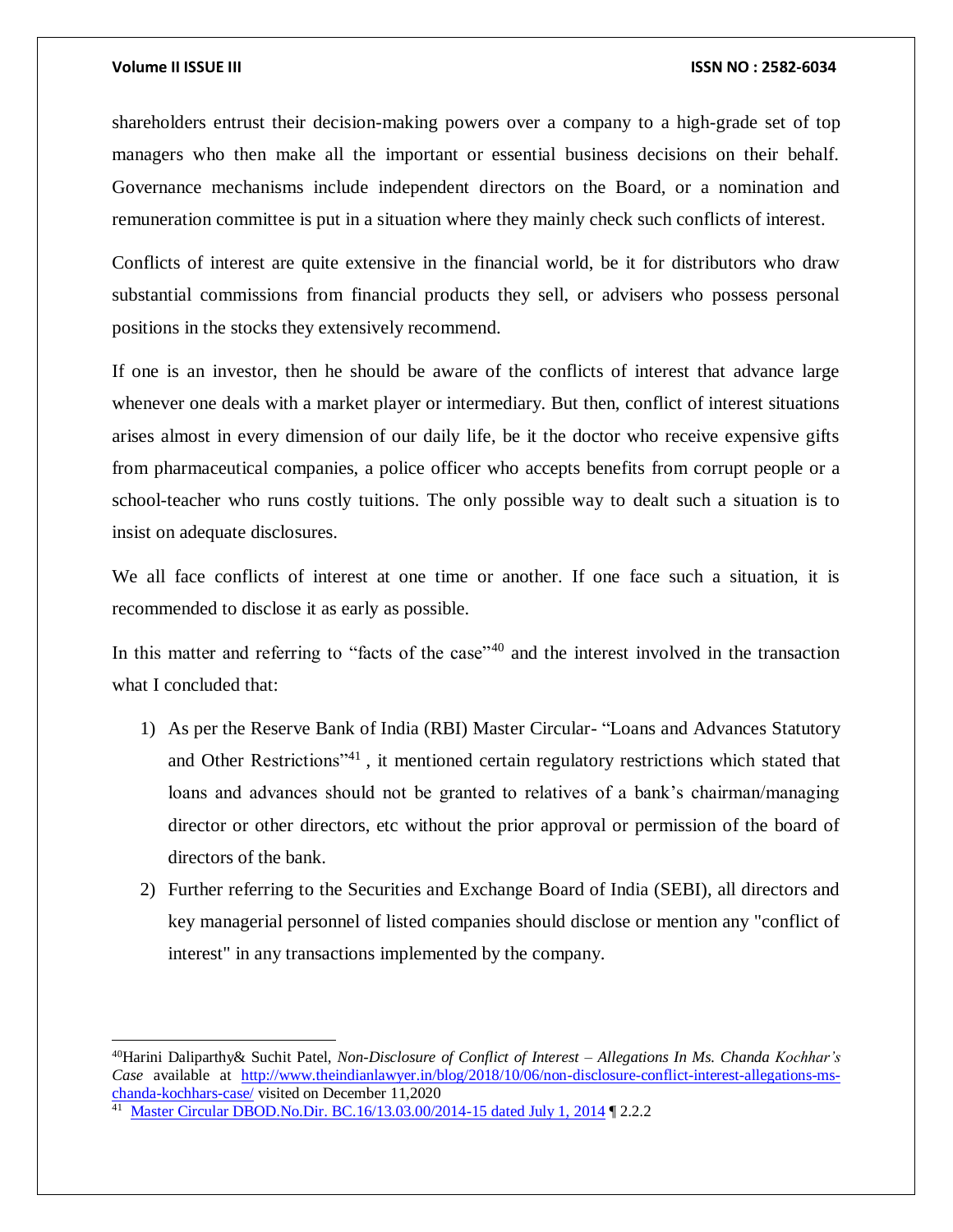$\overline{a}$ 

### **Volume II ISSUE III ISSN NO : 2582-6034**

shareholders entrust their decision-making powers over a company to a high-grade set of top managers who then make all the important or essential business decisions on their behalf. Governance mechanisms include independent directors on the Board, or a nomination and remuneration committee is put in a situation where they mainly check such conflicts of interest.

Conflicts of interest are quite extensive in the financial world, be it for distributors who draw substantial commissions from financial products they sell, or advisers who possess personal positions in the stocks they extensively recommend.

If one is an investor, then he should be aware of the conflicts of interest that advance large whenever one deals with a market player or intermediary. But then, conflict of interest situations arises almost in every dimension of our daily life, be it the doctor who receive expensive gifts from pharmaceutical companies, a police officer who accepts benefits from corrupt people or a school-teacher who runs costly tuitions. The only possible way to dealt such a situation is to insist on adequate disclosures.

We all face conflicts of interest at one time or another. If one face such a situation, it is recommended to disclose it as early as possible.

In this matter and referring to "facts of the case"<sup>40</sup> and the interest involved in the transaction what I concluded that:

- 1) As per the Reserve Bank of India (RBI) Master Circular- "Loans and Advances Statutory and Other Restrictions<sup>"41</sup>, it mentioned certain regulatory restrictions which stated that loans and advances should not be granted to relatives of a bank's chairman/managing director or other directors, etc without the prior approval or permission of the board of directors of the bank.
- 2) Further referring to the Securities and Exchange Board of India (SEBI), all directors and key managerial personnel of listed companies should disclose or mention any "conflict of interest" in any transactions implemented by the company.

<sup>40</sup>Harini Daliparthy& Suchit Patel, *Non-Disclosure of Conflict of Interest – Allegations In Ms. Chanda Kochhar's Case* available at [http://www.theindianlawyer.in/blog/2018/10/06/non-disclosure-conflict-interest-allegations-ms](http://www.theindianlawyer.in/blog/2018/10/06/non-disclosure-conflict-interest-allegations-ms-chanda-kochhars-case/)[chanda-kochhars-case/](http://www.theindianlawyer.in/blog/2018/10/06/non-disclosure-conflict-interest-allegations-ms-chanda-kochhars-case/) visited on December 11,2020

[Master Circular DBOD.No.Dir. BC.16/13.03.00/2014-15 dated July 1, 2014](https://www.rbi.org.in/Scripts/NotificationUser.aspx?Id=9024&Mode=0) [2.2.2]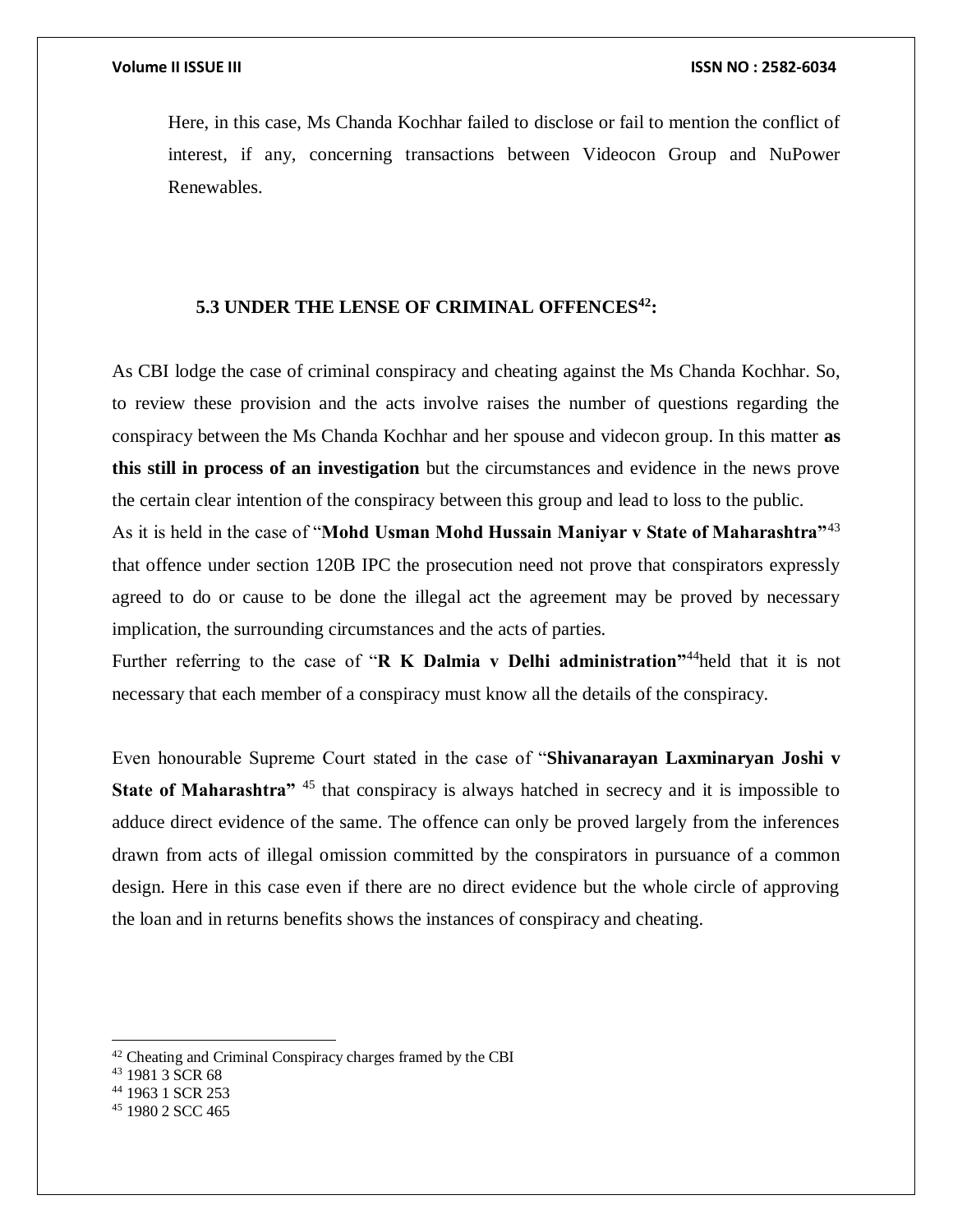Here, in this case, Ms Chanda Kochhar failed to disclose or fail to mention the conflict of interest, if any, concerning transactions between Videocon Group and NuPower Renewables.

# **5.3 UNDER THE LENSE OF CRIMINAL OFFENCES<sup>42</sup>:**

As CBI lodge the case of criminal conspiracy and cheating against the Ms Chanda Kochhar. So, to review these provision and the acts involve raises the number of questions regarding the conspiracy between the Ms Chanda Kochhar and her spouse and videcon group. In this matter **as this still in process of an investigation** but the circumstances and evidence in the news prove the certain clear intention of the conspiracy between this group and lead to loss to the public.

As it is held in the case of "**Mohd Usman Mohd Hussain Maniyar v State of Maharashtra"**<sup>43</sup> that offence under section 120B IPC the prosecution need not prove that conspirators expressly agreed to do or cause to be done the illegal act the agreement may be proved by necessary implication, the surrounding circumstances and the acts of parties.

Further referring to the case of "**R K Dalmia v Delhi administration"**<sup>44</sup>held that it is not necessary that each member of a conspiracy must know all the details of the conspiracy.

Even honourable Supreme Court stated in the case of "**Shivanarayan Laxminaryan Joshi v State of Maharashtra**<sup>" 45</sup> that conspiracy is always hatched in secrecy and it is impossible to adduce direct evidence of the same. The offence can only be proved largely from the inferences drawn from acts of illegal omission committed by the conspirators in pursuance of a common design. Here in this case even if there are no direct evidence but the whole circle of approving the loan and in returns benefits shows the instances of conspiracy and cheating.

 $42$  Cheating and Criminal Conspiracy charges framed by the CBI

 $43$  1981 3 SCR 68

<sup>44</sup> 1963 1 SCR 253

<sup>45</sup> 1980 2 SCC 465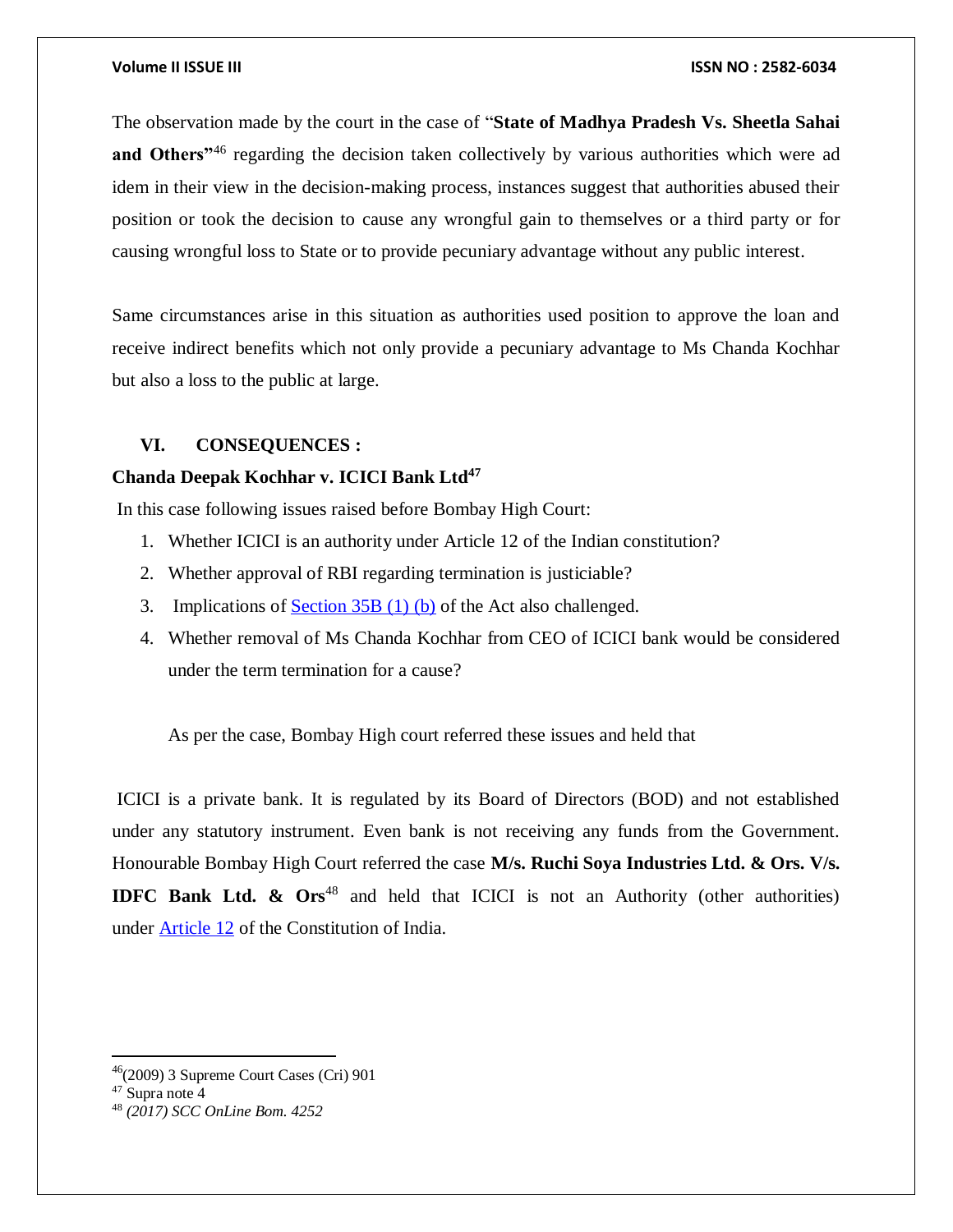The observation made by the court in the case of "**State of Madhya Pradesh Vs. Sheetla Sahai** and Others<sup>"46</sup> regarding the decision taken collectively by various authorities which were ad idem in their view in the decision-making process, instances suggest that authorities abused their position or took the decision to cause any wrongful gain to themselves or a third party or for causing wrongful loss to State or to provide pecuniary advantage without any public interest.

Same circumstances arise in this situation as authorities used position to approve the loan and receive indirect benefits which not only provide a pecuniary advantage to Ms Chanda Kochhar but also a loss to the public at large.

# **VI. CONSEQUENCES :**

# **Chanda Deepak Kochhar v. ICICI Bank Ltd<sup>47</sup>**

In this case following issues raised before Bombay High Court:

- 1. Whether ICICI is an authority under Article 12 of the Indian constitution?
- 2. Whether approval of RBI regarding termination is justiciable?
- 3. Implications of [Section 35B \(1\) \(b\)](https://indiankanoon.org/doc/855330/) of the Act also challenged.
- 4. Whether removal of Ms Chanda Kochhar from CEO of ICICI bank would be considered under the term termination for a cause?

As per the case, Bombay High court referred these issues and held that

ICICI is a private bank. It is regulated by its Board of Directors (BOD) and not established under any statutory instrument. Even bank is not receiving any funds from the Government. Honourable Bombay High Court referred the case **M/s. Ruchi Soya Industries Ltd. & Ors. V/s. IDFC Bank Ltd. & Ors<sup>48</sup>** and held that ICICI is not an Authority (other authorities) under [Article 12](https://indiankanoon.org/doc/609139/) of the Constitution of India.

 $\overline{\phantom{a}}$ 

 $46(2009)$  3 Supreme Court Cases (Cri) 901

<sup>47</sup> Supra note 4

<sup>48</sup> *(2017) SCC OnLine Bom. 4252*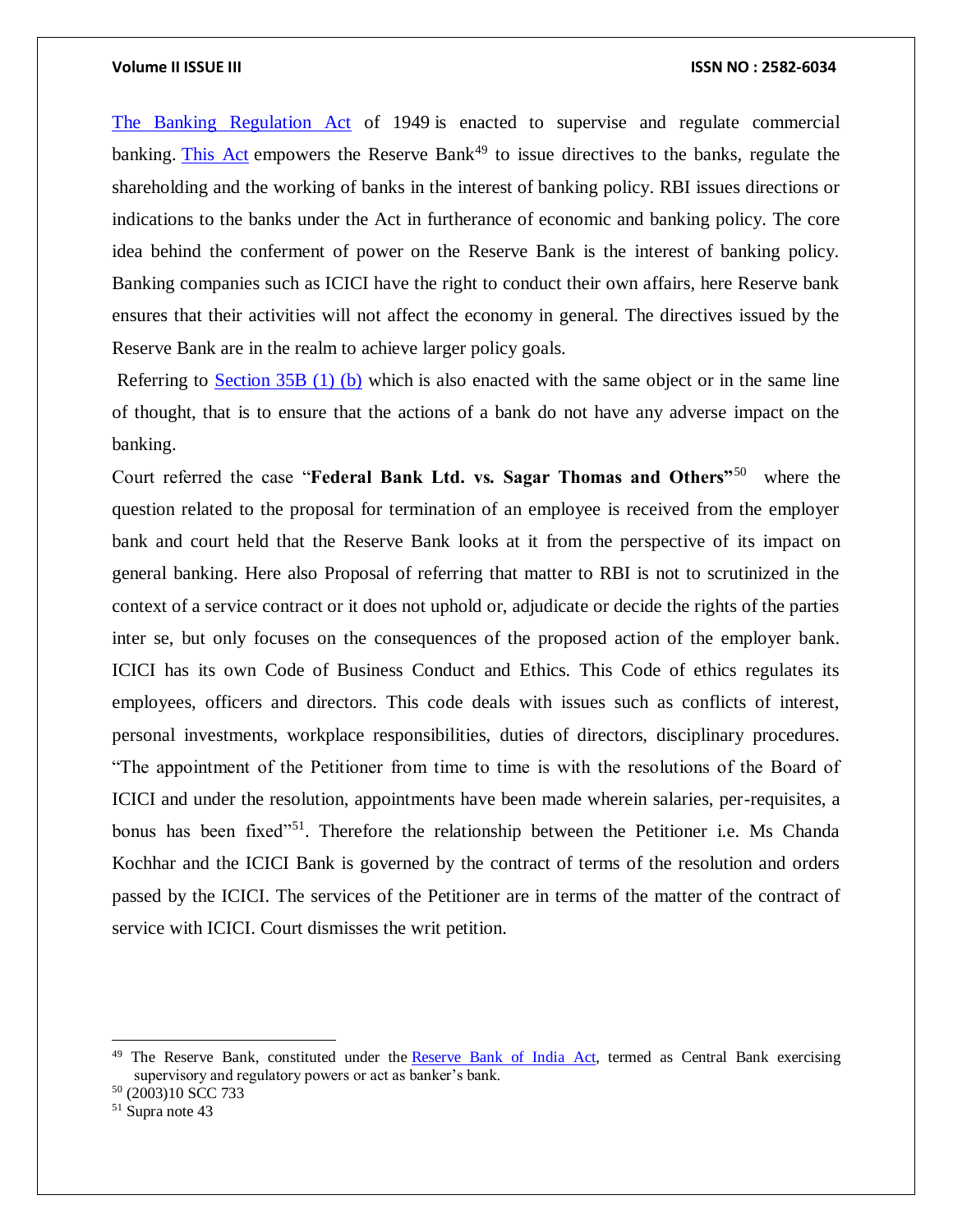[The Banking Regulation Act](https://indiankanoon.org/doc/1129081/) of 1949 is enacted to supervise and regulate commercial banking. [This Act](https://indiankanoon.org/doc/1129081/) empowers the Reserve Bank<sup>49</sup> to issue directives to the banks, regulate the shareholding and the working of banks in the interest of banking policy. RBI issues directions or indications to the banks under the Act in furtherance of economic and banking policy. The core idea behind the conferment of power on the Reserve Bank is the interest of banking policy. Banking companies such as ICICI have the right to conduct their own affairs, here Reserve bank ensures that their activities will not affect the economy in general. The directives issued by the Reserve Bank are in the realm to achieve larger policy goals.

Referring to [Section 35B \(1\) \(b\)](https://indiankanoon.org/doc/855330/) which is also enacted with the same object or in the same line of thought, that is to ensure that the actions of a bank do not have any adverse impact on the banking.

Court referred the case "**Federal Bank Ltd. vs. Sagar Thomas and Others"**<sup>50</sup> where the question related to the proposal for termination of an employee is received from the employer bank and court held that the Reserve Bank looks at it from the perspective of its impact on general banking. Here also Proposal of referring that matter to RBI is not to scrutinized in the context of a service contract or it does not uphold or, adjudicate or decide the rights of the parties inter se, but only focuses on the consequences of the proposed action of the employer bank. ICICI has its own Code of Business Conduct and Ethics. This Code of ethics regulates its employees, officers and directors. This code deals with issues such as conflicts of interest, personal investments, workplace responsibilities, duties of directors, disciplinary procedures. "The appointment of the Petitioner from time to time is with the resolutions of the Board of ICICI and under the resolution, appointments have been made wherein salaries, per-requisites, a bonus has been fixed<sup>"51</sup>. Therefore the relationship between the Petitioner i.e. Ms Chanda Kochhar and the ICICI Bank is governed by the contract of terms of the resolution and orders passed by the ICICI. The services of the Petitioner are in terms of the matter of the contract of service with ICICI. Court dismisses the writ petition.

<sup>&</sup>lt;sup>49</sup> The Reserve Bank, constituted under the **Reserve Bank of India Act**, termed as Central Bank exercising supervisory and regulatory powers or act as banker's bank.

<sup>50</sup> (2003)10 SCC 733

<sup>51</sup> Supra note 43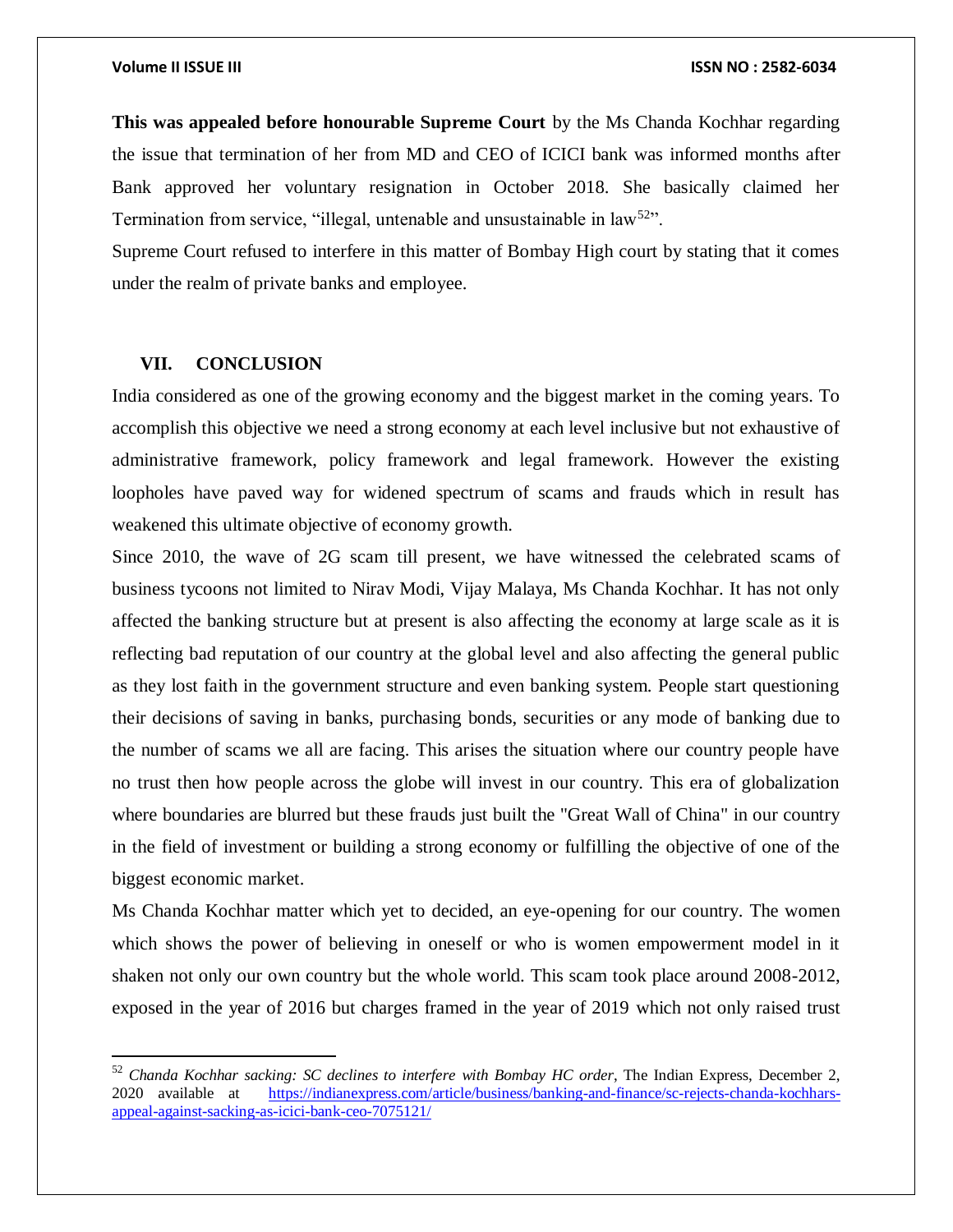**This was appealed before honourable Supreme Court** by the Ms Chanda Kochhar regarding the issue that termination of her from MD and CEO of ICICI bank was informed months after Bank approved her voluntary resignation in October 2018. She basically claimed her Termination from service, "illegal, untenable and unsustainable in law<sup>52</sup>".

Supreme Court refused to interfere in this matter of Bombay High court by stating that it comes under the realm of private banks and employee.

### **VII. CONCLUSION**

 $\overline{\phantom{a}}$ 

India considered as one of the growing economy and the biggest market in the coming years. To accomplish this objective we need a strong economy at each level inclusive but not exhaustive of administrative framework, policy framework and legal framework. However the existing loopholes have paved way for widened spectrum of scams and frauds which in result has weakened this ultimate objective of economy growth.

Since 2010, the wave of 2G scam till present, we have witnessed the celebrated scams of business tycoons not limited to Nirav Modi, Vijay Malaya, Ms Chanda Kochhar. It has not only affected the banking structure but at present is also affecting the economy at large scale as it is reflecting bad reputation of our country at the global level and also affecting the general public as they lost faith in the government structure and even banking system. People start questioning their decisions of saving in banks, purchasing bonds, securities or any mode of banking due to the number of scams we all are facing. This arises the situation where our country people have no trust then how people across the globe will invest in our country. This era of globalization where boundaries are blurred but these frauds just built the "Great Wall of China" in our country in the field of investment or building a strong economy or fulfilling the objective of one of the biggest economic market.

Ms Chanda Kochhar matter which yet to decided, an eye-opening for our country. The women which shows the power of believing in oneself or who is women empowerment model in it shaken not only our own country but the whole world. This scam took place around 2008-2012, exposed in the year of 2016 but charges framed in the year of 2019 which not only raised trust

<sup>52</sup> *Chanda Kochhar sacking: SC declines to interfere with Bombay HC order*, The Indian Express, December 2, 2020 available at [https://indianexpress.com/article/business/banking-and-finance/sc-rejects-chanda-kochhars](https://indianexpress.com/article/business/banking-and-finance/sc-rejects-chanda-kochhars-appeal-against-sacking-as-icici-bank-ceo-7075121/)[appeal-against-sacking-as-icici-bank-ceo-7075121/](https://indianexpress.com/article/business/banking-and-finance/sc-rejects-chanda-kochhars-appeal-against-sacking-as-icici-bank-ceo-7075121/)